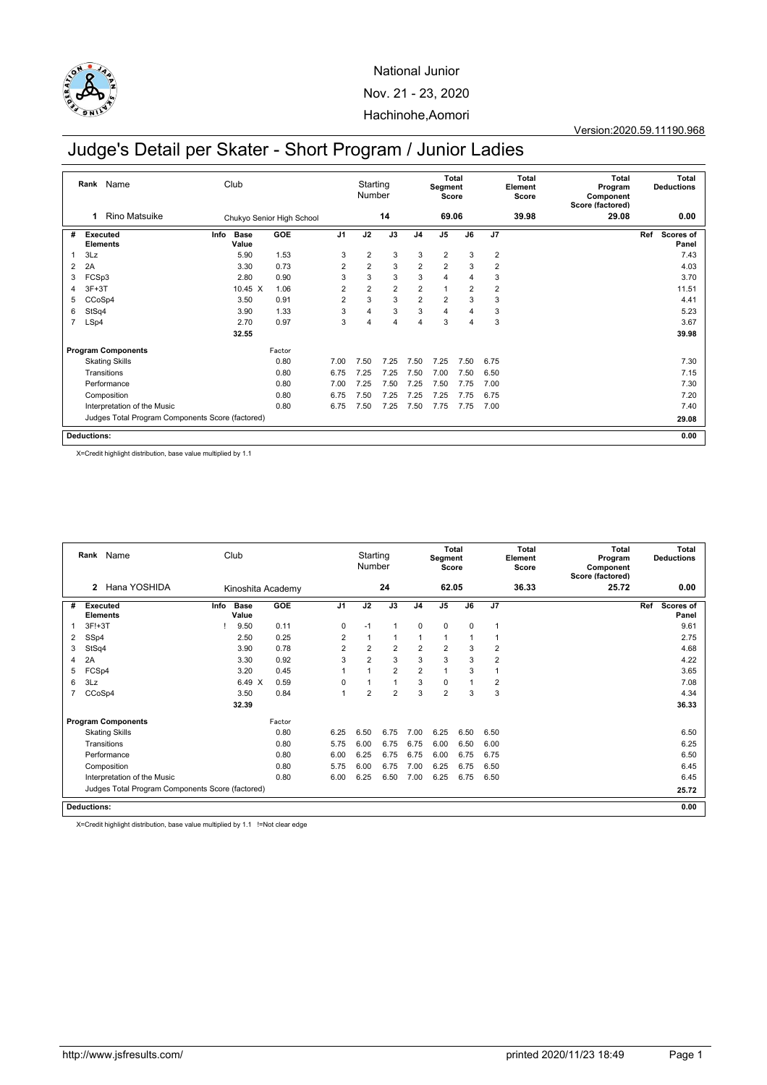

# Judge's Detail per Skater - Short Program / Junior Ladies

|                | Name<br>Rank                                     |      | Club                 |                           |                | Starting<br>Number |                |                | Segment<br>Score | <b>Total</b>   |                | Total<br>Element<br>Score | <b>Total</b><br>Program<br>Component<br>Score (factored) |     | <b>Total</b><br><b>Deductions</b> |
|----------------|--------------------------------------------------|------|----------------------|---------------------------|----------------|--------------------|----------------|----------------|------------------|----------------|----------------|---------------------------|----------------------------------------------------------|-----|-----------------------------------|
|                | <b>Rino Matsuike</b><br>1                        |      |                      | Chukyo Senior High School |                |                    | 14             |                | 69.06            |                |                | 39.98                     | 29.08                                                    |     | 0.00                              |
| #              | Executed<br><b>Elements</b>                      | Info | <b>Base</b><br>Value | <b>GOE</b>                | J <sub>1</sub> | J2                 | J3             | J <sub>4</sub> | J <sub>5</sub>   | J6             | J <sub>7</sub> |                           |                                                          | Ref | <b>Scores of</b><br>Panel         |
| 1              | 3Lz                                              |      | 5.90                 | 1.53                      | 3              | $\overline{2}$     | 3              | 3              | $\overline{2}$   | 3              | $\overline{2}$ |                           |                                                          |     | 7.43                              |
| 2              | 2A                                               |      | 3.30                 | 0.73                      | $\overline{2}$ | $\overline{2}$     | 3              | $\overline{2}$ | $\overline{2}$   | 3              | $\overline{2}$ |                           |                                                          |     | 4.03                              |
| 3              | FCSp3                                            |      | 2.80                 | 0.90                      | 3              | 3                  | 3              | 3              | 4                | 4              | 3              |                           |                                                          |     | 3.70                              |
| 4              | $3F+3T$                                          |      | 10.45 X              | 1.06                      | $\overline{2}$ | $\overline{2}$     | $\overline{2}$ | 2              | 1                | $\overline{2}$ | $\overline{2}$ |                           |                                                          |     | 11.51                             |
| 5              | CCoSp4                                           |      | 3.50                 | 0.91                      | $\overline{2}$ | 3                  | 3              | $\overline{2}$ | $\overline{2}$   | 3              | 3              |                           |                                                          |     | 4.41                              |
| 6              | StSq4                                            |      | 3.90                 | 1.33                      | 3              | 4                  | 3              | 3              | 4                | 4              | 3              |                           |                                                          |     | 5.23                              |
| $\overline{7}$ | LSp4                                             |      | 2.70                 | 0.97                      | 3              | 4                  | $\overline{4}$ | 4              | 3                | 4              | 3              |                           |                                                          |     | 3.67                              |
|                |                                                  |      | 32.55                |                           |                |                    |                |                |                  |                |                |                           |                                                          |     | 39.98                             |
|                | <b>Program Components</b>                        |      |                      | Factor                    |                |                    |                |                |                  |                |                |                           |                                                          |     |                                   |
|                | <b>Skating Skills</b>                            |      |                      | 0.80                      | 7.00           | 7.50               | 7.25           | 7.50           | 7.25             | 7.50           | 6.75           |                           |                                                          |     | 7.30                              |
|                | Transitions                                      |      |                      | 0.80                      | 6.75           | 7.25               | 7.25           | 7.50           | 7.00             | 7.50           | 6.50           |                           |                                                          |     | 7.15                              |
|                | Performance                                      |      |                      | 0.80                      | 7.00           | 7.25               | 7.50           | 7.25           | 7.50             | 7.75           | 7.00           |                           |                                                          |     | 7.30                              |
|                | Composition                                      |      |                      | 0.80                      | 6.75           | 7.50               | 7.25           | 7.25           | 7.25             | 7.75           | 6.75           |                           |                                                          |     | 7.20                              |
|                | Interpretation of the Music                      |      |                      | 0.80                      | 6.75           | 7.50               | 7.25           | 7.50           | 7.75             | 7.75           | 7.00           |                           |                                                          |     | 7.40                              |
|                | Judges Total Program Components Score (factored) |      |                      |                           |                |                    |                |                |                  |                |                |                           | 29.08                                                    |     |                                   |
|                | <b>Deductions:</b>                               |      |                      |                           |                |                    |                |                |                  |                |                |                           |                                                          |     | 0.00                              |

X=Credit highlight distribution, base value multiplied by 1.1

|   | Rank Name                                        | Club |                  |                   |                | Starting<br>Number |                |                | Segment<br>Score | Total        |                | Total<br>Element<br>Score | <b>Total</b><br>Program<br>Component<br>Score (factored) |     | Total<br><b>Deductions</b> |
|---|--------------------------------------------------|------|------------------|-------------------|----------------|--------------------|----------------|----------------|------------------|--------------|----------------|---------------------------|----------------------------------------------------------|-----|----------------------------|
|   | Hana YOSHIDA<br>$\mathbf{2}$                     |      |                  | Kinoshita Academy |                |                    | 24             |                | 62.05            |              |                | 36.33                     | 25.72                                                    |     | 0.00                       |
| # | <b>Executed</b><br><b>Elements</b>               | Info | Base<br>Value    | <b>GOE</b>        | J <sub>1</sub> | J2                 | J3             | J <sub>4</sub> | J <sub>5</sub>   | J6           | J <sub>7</sub> |                           |                                                          | Ref | <b>Scores of</b><br>Panel  |
|   | $3F!+3T$                                         |      | 9.50             | 0.11              | $\Omega$       | $-1$               | 1              | $\mathbf 0$    | $\mathbf 0$      | $\Omega$     | $\overline{1}$ |                           |                                                          |     | 9.61                       |
| 2 | SSp4                                             |      | 2.50             | 0.25              | $\overline{2}$ | $\overline{1}$     | 1              | $\overline{1}$ | $\mathbf{1}$     | $\mathbf{1}$ | 1              |                           |                                                          |     | 2.75                       |
| 3 | StSq4                                            |      | 3.90             | 0.78              | $\overline{2}$ | $\overline{2}$     | $\overline{2}$ | $\overline{2}$ | 2                | 3            | $\overline{2}$ |                           |                                                          |     | 4.68                       |
| 4 | 2A                                               |      | 3.30             | 0.92              | 3              | $\overline{2}$     | 3              | 3              | 3                | 3            | $\overline{2}$ |                           |                                                          |     | 4.22                       |
| 5 | FCSp4                                            |      | 3.20             | 0.45              |                |                    | $\overline{2}$ | $\overline{2}$ | $\mathbf{1}$     | 3            | 1              |                           |                                                          |     | 3.65                       |
| 6 | 3Lz                                              |      | 6.49<br>$\times$ | 0.59              | $\Omega$       | 1                  | $\mathbf{1}$   | 3              | $\mathbf 0$      |              | $\overline{2}$ |                           |                                                          |     | 7.08                       |
|   | CCoSp4                                           |      | 3.50             | 0.84              | 1              | 2                  | $\overline{2}$ | 3              | $\overline{2}$   | 3            | 3              |                           |                                                          |     | 4.34                       |
|   |                                                  |      | 32.39            |                   |                |                    |                |                |                  |              |                |                           |                                                          |     | 36.33                      |
|   | <b>Program Components</b>                        |      |                  | Factor            |                |                    |                |                |                  |              |                |                           |                                                          |     |                            |
|   | <b>Skating Skills</b>                            |      |                  | 0.80              | 6.25           | 6.50               | 6.75           | 7.00           | 6.25             | 6.50         | 6.50           |                           |                                                          |     | 6.50                       |
|   | Transitions                                      |      |                  | 0.80              | 5.75           | 6.00               | 6.75           | 6.75           | 6.00             | 6.50         | 6.00           |                           |                                                          |     | 6.25                       |
|   | Performance                                      |      |                  | 0.80              | 6.00           | 6.25               | 6.75           | 6.75           | 6.00             | 6.75         | 6.75           |                           |                                                          |     | 6.50                       |
|   | Composition                                      |      |                  | 0.80              | 5.75           | 6.00               | 6.75           | 7.00           | 6.25             | 6.75         | 6.50           |                           |                                                          |     | 6.45                       |
|   | Interpretation of the Music                      |      |                  | 0.80              | 6.00           | 6.25               | 6.50           | 7.00           | 6.25             | 6.75         | 6.50           |                           |                                                          |     | 6.45                       |
|   | Judges Total Program Components Score (factored) |      |                  |                   |                |                    |                |                |                  |              |                |                           |                                                          |     | 25.72                      |
|   | <b>Deductions:</b>                               |      |                  |                   |                |                    |                |                |                  |              |                |                           |                                                          |     | 0.00                       |

X=Credit highlight distribution, base value multiplied by 1.1 !=Not clear edge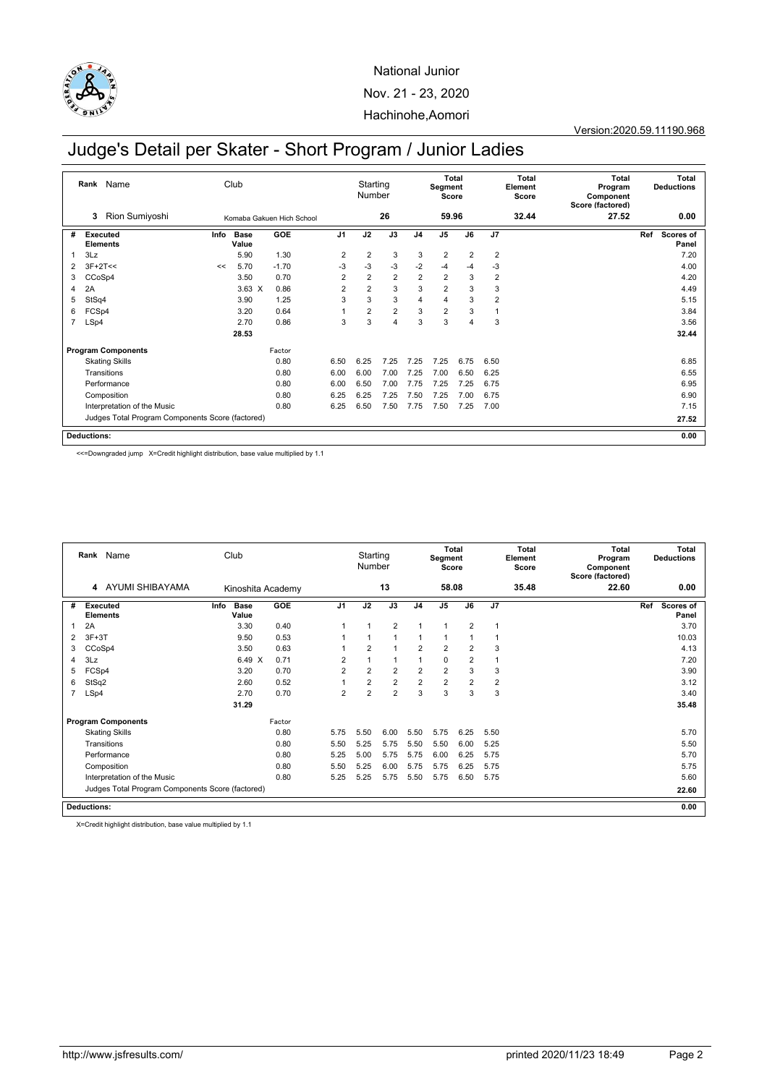

# Judge's Detail per Skater - Short Program / Junior Ladies

|                | Rank Name                                        |      | Club                 |                           |                | Starting<br>Number |                |                | Segment<br>Score | <b>Total</b>   |                | Total<br>Element<br>Score | <b>Total</b><br>Program<br>Component<br>Score (factored) | <b>Total</b><br><b>Deductions</b> |
|----------------|--------------------------------------------------|------|----------------------|---------------------------|----------------|--------------------|----------------|----------------|------------------|----------------|----------------|---------------------------|----------------------------------------------------------|-----------------------------------|
|                | Rion Sumiyoshi<br>3                              |      |                      | Komaba Gakuen Hich School |                |                    | 26             |                | 59.96            |                |                | 32.44                     | 27.52                                                    | 0.00                              |
| #              | <b>Executed</b><br><b>Elements</b>               | Info | <b>Base</b><br>Value | GOE                       | J <sub>1</sub> | J2                 | J3             | J <sub>4</sub> | J <sub>5</sub>   | J6             | J7             |                           |                                                          | Ref<br>Scores of<br>Panel         |
|                | 3Lz                                              |      | 5.90                 | 1.30                      | $\overline{2}$ | $\overline{2}$     | 3              | 3              | $\overline{2}$   | $\overline{2}$ | $\overline{2}$ |                           |                                                          | 7.20                              |
| $\overline{2}$ | $3F+2T<<$                                        | <<   | 5.70                 | $-1.70$                   | $-3$           | $-3$               | $-3$           | $-2$           | $-4$             | $-4$           | $-3$           |                           |                                                          | 4.00                              |
| 3              | CCoSp4                                           |      | 3.50                 | 0.70                      | $\overline{2}$ | $\overline{2}$     | $\overline{2}$ | $\overline{2}$ | $\overline{2}$   | 3              | $\overline{2}$ |                           |                                                          | 4.20                              |
| 4              | 2A                                               |      | $3.63 \times$        | 0.86                      | $\overline{2}$ | $\overline{2}$     | 3              | 3              | $\overline{2}$   | 3              | 3              |                           |                                                          | 4.49                              |
| 5              | StSq4                                            |      | 3.90                 | 1.25                      | 3              | 3                  | 3              | 4              | 4                | 3              | $\overline{2}$ |                           |                                                          | 5.15                              |
| 6              | FCSp4                                            |      | 3.20                 | 0.64                      |                | $\overline{2}$     | $\overline{2}$ | 3              | $\overline{2}$   | 3              |                |                           |                                                          | 3.84                              |
| $\overline{7}$ | LSp4                                             |      | 2.70                 | 0.86                      | 3              | 3                  | 4              | 3              | 3                | 4              | 3              |                           |                                                          | 3.56                              |
|                |                                                  |      | 28.53                |                           |                |                    |                |                |                  |                |                |                           |                                                          | 32.44                             |
|                | <b>Program Components</b>                        |      |                      | Factor                    |                |                    |                |                |                  |                |                |                           |                                                          |                                   |
|                | <b>Skating Skills</b>                            |      |                      | 0.80                      | 6.50           | 6.25               | 7.25           | 7.25           | 7.25             | 6.75           | 6.50           |                           |                                                          | 6.85                              |
|                | Transitions                                      |      |                      | 0.80                      | 6.00           | 6.00               | 7.00           | 7.25           | 7.00             | 6.50           | 6.25           |                           |                                                          | 6.55                              |
|                | Performance                                      |      |                      | 0.80                      | 6.00           | 6.50               | 7.00           | 7.75           | 7.25             | 7.25           | 6.75           |                           |                                                          | 6.95                              |
|                | Composition                                      |      |                      | 0.80                      | 6.25           | 6.25               | 7.25           | 7.50           | 7.25             | 7.00           | 6.75           |                           |                                                          | 6.90                              |
|                | Interpretation of the Music                      |      |                      | 0.80                      | 6.25           | 6.50               | 7.50           | 7.75           | 7.50             | 7.25           | 7.00           |                           |                                                          | 7.15                              |
|                | Judges Total Program Components Score (factored) |      |                      |                           |                |                    |                |                |                  |                |                | 27.52                     |                                                          |                                   |
|                | <b>Deductions:</b>                               |      |                      |                           |                |                    |                |                |                  |                | 0.00           |                           |                                                          |                                   |

<<=Downgraded jump X=Credit highlight distribution, base value multiplied by 1.1

|   | Rank Name                                        | Club                         |                   |                | Starting<br>Number |                |                | Total<br>Segment<br>Score |                |                | Total<br>Element<br>Score | Total<br>Program<br>Component<br>Score (factored) | Total<br><b>Deductions</b>       |
|---|--------------------------------------------------|------------------------------|-------------------|----------------|--------------------|----------------|----------------|---------------------------|----------------|----------------|---------------------------|---------------------------------------------------|----------------------------------|
|   | AYUMI SHIBAYAMA<br>4                             |                              | Kinoshita Academy |                |                    | 13             |                | 58.08                     |                |                | 35.48                     | 22.60                                             | 0.00                             |
| # | <b>Executed</b><br><b>Elements</b>               | Info<br><b>Base</b><br>Value | <b>GOE</b>        | J <sub>1</sub> | J2                 | J3             | J <sub>4</sub> | J <sub>5</sub>            | J6             | J7             |                           |                                                   | Ref<br><b>Scores of</b><br>Panel |
|   | 2A                                               | 3.30                         | 0.40              |                | 1                  | $\overline{2}$ | 1              | $\mathbf{1}$              | $\overline{2}$ | 1              |                           |                                                   | 3.70                             |
| 2 | $3F+3T$                                          | 9.50                         | 0.53              |                |                    |                |                | $\mathbf{1}$              |                | 1              |                           |                                                   | 10.03                            |
| 3 | CCoSp4                                           | 3.50                         | 0.63              |                | $\overline{2}$     |                | $\overline{2}$ | $\overline{2}$            | $\overline{2}$ | 3              |                           |                                                   | 4.13                             |
| 4 | 3Lz                                              | 6.49 X                       | 0.71              | $\overline{2}$ |                    |                |                | $\mathbf 0$               | $\overline{2}$ | 1              |                           |                                                   | 7.20                             |
| 5 | FCSp4                                            | 3.20                         | 0.70              | $\overline{2}$ | $\overline{2}$     | $\overline{2}$ | $\overline{2}$ | $\overline{2}$            | 3              | 3              |                           |                                                   | 3.90                             |
| 6 | StSq2                                            | 2.60                         | 0.52              |                | $\overline{2}$     | $\overline{2}$ | $\overline{2}$ | $\overline{2}$            | $\overline{2}$ | $\overline{2}$ |                           |                                                   | 3.12                             |
|   | LSp4                                             | 2.70                         | 0.70              | $\overline{2}$ | $\overline{2}$     | $\overline{2}$ | 3              | 3                         | 3              | 3              |                           |                                                   | 3.40                             |
|   |                                                  | 31.29                        |                   |                |                    |                |                |                           |                |                |                           |                                                   | 35.48                            |
|   | <b>Program Components</b>                        |                              | Factor            |                |                    |                |                |                           |                |                |                           |                                                   |                                  |
|   | <b>Skating Skills</b>                            |                              | 0.80              | 5.75           | 5.50               | 6.00           | 5.50           | 5.75                      | 6.25           | 5.50           |                           |                                                   | 5.70                             |
|   | Transitions                                      |                              | 0.80              | 5.50           | 5.25               | 5.75           | 5.50           | 5.50                      | 6.00           | 5.25           |                           |                                                   | 5.50                             |
|   | Performance                                      |                              | 0.80              | 5.25           | 5.00               | 5.75           | 5.75           | 6.00                      | 6.25           | 5.75           |                           |                                                   | 5.70                             |
|   | Composition                                      |                              | 0.80              | 5.50           | 5.25               | 6.00           | 5.75           | 5.75                      | 6.25           | 5.75           |                           |                                                   | 5.75                             |
|   | Interpretation of the Music                      |                              | 0.80              | 5.25           | 5.25               | 5.75           | 5.50           | 5.75                      | 6.50           | 5.75           |                           |                                                   | 5.60                             |
|   | Judges Total Program Components Score (factored) |                              |                   |                |                    |                |                |                           |                |                |                           |                                                   | 22.60                            |
|   | <b>Deductions:</b>                               |                              |                   |                |                    |                |                |                           |                |                |                           |                                                   | 0.00                             |

X=Credit highlight distribution, base value multiplied by 1.1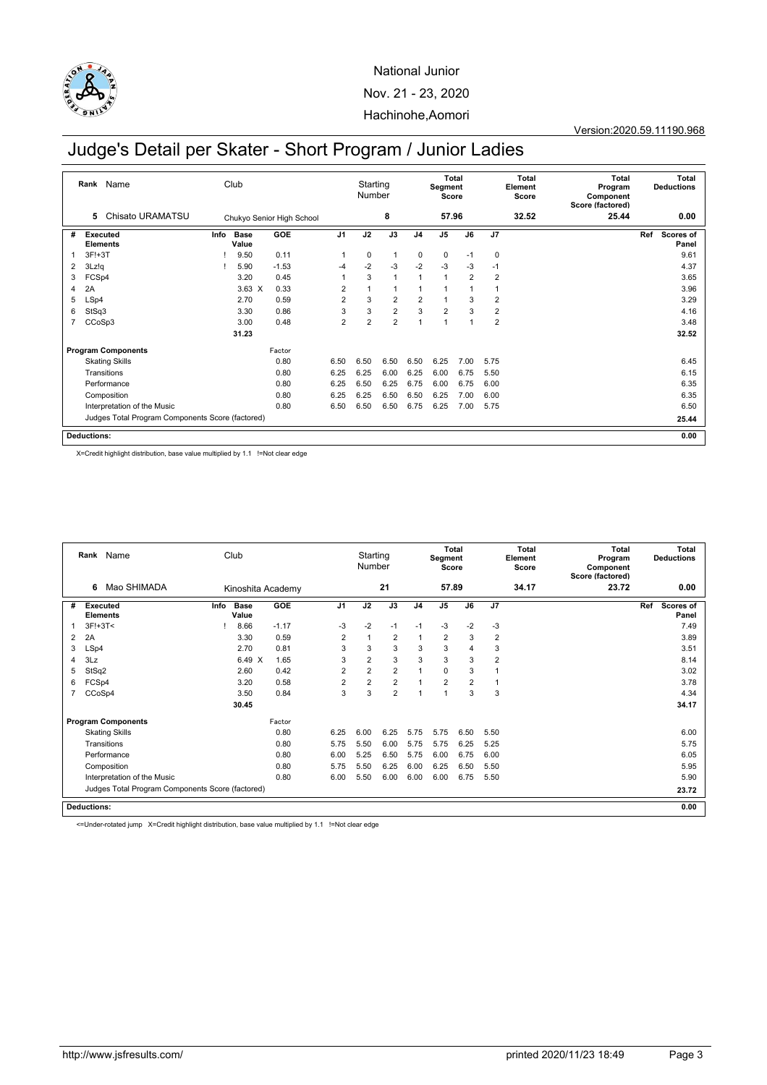

Version:2020.59.11190.968

# Judge's Detail per Skater - Short Program / Junior Ladies

|   | Name<br>Rank                                     |      | Club                 |                           |                | Starting<br>Number |                |                | <b>Total</b><br>Segment<br>Score |      |                | Total<br>Element<br>Score | <b>Total</b><br>Program<br>Component<br>Score (factored) |     | <b>Total</b><br><b>Deductions</b> |
|---|--------------------------------------------------|------|----------------------|---------------------------|----------------|--------------------|----------------|----------------|----------------------------------|------|----------------|---------------------------|----------------------------------------------------------|-----|-----------------------------------|
|   | Chisato URAMATSU<br>5                            |      |                      | Chukyo Senior High School |                |                    | 8              |                | 57.96                            |      |                | 32.52                     | 25.44                                                    |     | 0.00                              |
| # | Executed<br><b>Elements</b>                      | Info | <b>Base</b><br>Value | GOE                       | J <sub>1</sub> | J2                 | J3             | J <sub>4</sub> | J <sub>5</sub>                   | J6   | J7             |                           |                                                          | Ref | <b>Scores of</b><br>Panel         |
| 1 | $3F!+3T$                                         |      | 9.50                 | 0.11                      | $\overline{1}$ | 0                  | $\mathbf{1}$   | $\mathbf 0$    | $\mathbf 0$                      | $-1$ | 0              |                           |                                                          |     | 9.61                              |
| 2 | 3Lz!q                                            |      | 5.90                 | $-1.53$                   | $-4$           | $-2$               | $-3$           | $-2$           | $-3$                             | $-3$ | $-1$           |                           |                                                          |     | 4.37                              |
| 3 | FCSp4                                            |      | 3.20                 | 0.45                      |                | 3                  | $\mathbf{1}$   | 1              | $\overline{1}$                   | 2    | $\overline{2}$ |                           |                                                          |     | 3.65                              |
| 4 | 2A                                               |      | $3.63 \times$        | 0.33                      | $\overline{2}$ |                    | $\mathbf{1}$   | 1              | 1                                |      |                |                           |                                                          |     | 3.96                              |
| 5 | LSp4                                             |      | 2.70                 | 0.59                      | $\overline{2}$ | 3                  | $\overline{2}$ | $\overline{c}$ | 1                                | 3    | $\overline{2}$ |                           |                                                          |     | 3.29                              |
| 6 | StSq3                                            |      | 3.30                 | 0.86                      | 3              | 3                  | $\overline{2}$ | 3              | $\overline{2}$                   | 3    | $\overline{2}$ |                           |                                                          |     | 4.16                              |
| 7 | CCoSp3                                           |      | 3.00                 | 0.48                      | $\overline{2}$ | $\overline{2}$     | $\overline{2}$ | 1              | 1                                |      | 2              |                           |                                                          |     | 3.48                              |
|   |                                                  |      | 31.23                |                           |                |                    |                |                |                                  |      |                |                           |                                                          |     | 32.52                             |
|   | <b>Program Components</b>                        |      |                      | Factor                    |                |                    |                |                |                                  |      |                |                           |                                                          |     |                                   |
|   | <b>Skating Skills</b>                            |      |                      | 0.80                      | 6.50           | 6.50               | 6.50           | 6.50           | 6.25                             | 7.00 | 5.75           |                           |                                                          |     | 6.45                              |
|   | Transitions                                      |      |                      | 0.80                      | 6.25           | 6.25               | 6.00           | 6.25           | 6.00                             | 6.75 | 5.50           |                           |                                                          |     | 6.15                              |
|   | Performance                                      |      |                      | 0.80                      | 6.25           | 6.50               | 6.25           | 6.75           | 6.00                             | 6.75 | 6.00           |                           |                                                          |     | 6.35                              |
|   | Composition                                      |      |                      | 0.80                      | 6.25           | 6.25               | 6.50           | 6.50           | 6.25                             | 7.00 | 6.00           |                           |                                                          |     | 6.35                              |
|   | Interpretation of the Music                      |      |                      | 0.80                      | 6.50           | 6.50               | 6.50           | 6.75           | 6.25                             | 7.00 | 5.75           |                           |                                                          |     | 6.50                              |
|   | Judges Total Program Components Score (factored) |      |                      |                           |                |                    |                |                |                                  |      |                |                           | 25.44                                                    |     |                                   |
|   | <b>Deductions:</b>                               |      |                      |                           |                |                    |                |                |                                  |      |                |                           |                                                          |     | 0.00                              |

X=Credit highlight distribution, base value multiplied by 1.1 !=Not clear edge

|                | Rank Name                                        |      | Club                 |                   |                | Starting<br>Number |                |                | <b>Total</b><br>Segment<br>Score |                |                | Total<br>Element<br>Score | Total<br>Program<br>Component<br>Score (factored) |      | Total<br><b>Deductions</b> |
|----------------|--------------------------------------------------|------|----------------------|-------------------|----------------|--------------------|----------------|----------------|----------------------------------|----------------|----------------|---------------------------|---------------------------------------------------|------|----------------------------|
|                | Mao SHIMADA<br>6                                 |      |                      | Kinoshita Academy |                |                    | 21             |                | 57.89                            |                |                | 34.17                     | 23.72                                             |      | 0.00                       |
| #              | Executed<br><b>Elements</b>                      | Info | <b>Base</b><br>Value | <b>GOE</b>        | J <sub>1</sub> | J2                 | J3             | J <sub>4</sub> | J <sub>5</sub>                   | J6             | J7             |                           |                                                   | Ref  | Scores of<br>Panel         |
|                | $3F!+3T<$                                        |      | 8.66                 | $-1.17$           | $-3$           | $-2$               | $-1$           | $-1$           | $-3$                             | $-2$           | $-3$           |                           |                                                   |      | 7.49                       |
| $\overline{2}$ | 2A                                               |      | 3.30                 | 0.59              | $\overline{2}$ | $\mathbf{1}$       | $\overline{2}$ | $\overline{1}$ | $\overline{2}$                   | 3              | $\overline{2}$ |                           |                                                   |      | 3.89                       |
| 3              | LSp4                                             |      | 2.70                 | 0.81              | 3              | 3                  | 3              | 3              | 3                                | 4              | 3              |                           |                                                   |      | 3.51                       |
| 4              | 3Lz                                              |      | 6.49 X               | 1.65              | 3              | $\overline{2}$     | 3              | 3              | 3                                | 3              | 2              |                           |                                                   |      | 8.14                       |
| 5              | StSq2                                            |      | 2.60                 | 0.42              | $\overline{2}$ | $\overline{2}$     | $\overline{2}$ | 1              | $\mathbf 0$                      | 3              | 1              |                           |                                                   |      | 3.02                       |
| 6              | FCSp4                                            |      | 3.20                 | 0.58              | $\overline{2}$ | $\overline{2}$     | $\overline{2}$ | $\overline{1}$ | $\overline{2}$                   | $\overline{2}$ | 1              |                           |                                                   |      | 3.78                       |
|                | CCoSp4                                           |      | 3.50                 | 0.84              | 3              | 3                  | $\overline{2}$ | $\overline{ }$ | $\mathbf{1}$                     | 3              | 3              |                           |                                                   |      | 4.34                       |
|                |                                                  |      | 30.45                |                   |                |                    |                |                |                                  |                |                |                           |                                                   |      | 34.17                      |
|                | <b>Program Components</b>                        |      |                      | Factor            |                |                    |                |                |                                  |                |                |                           |                                                   |      |                            |
|                | <b>Skating Skills</b>                            |      |                      | 0.80              | 6.25           | 6.00               | 6.25           | 5.75           | 5.75                             | 6.50           | 5.50           |                           |                                                   |      | 6.00                       |
|                | Transitions                                      |      |                      | 0.80              | 5.75           | 5.50               | 6.00           | 5.75           | 5.75                             | 6.25           | 5.25           |                           |                                                   |      | 5.75                       |
|                | Performance                                      |      |                      | 0.80              | 6.00           | 5.25               | 6.50           | 5.75           | 6.00                             | 6.75           | 6.00           |                           |                                                   |      | 6.05                       |
|                | Composition                                      |      |                      | 0.80              | 5.75           | 5.50               | 6.25           | 6.00           | 6.25                             | 6.50           | 5.50           |                           |                                                   |      | 5.95                       |
|                | Interpretation of the Music                      |      |                      | 0.80              | 6.00           | 5.50               | 6.00           | 6.00           | 6.00                             | 6.75           | 5.50           |                           |                                                   |      | 5.90                       |
|                | Judges Total Program Components Score (factored) |      |                      |                   |                |                    |                |                |                                  |                |                | 23.72                     |                                                   |      |                            |
|                | <b>Deductions:</b>                               |      |                      |                   |                |                    |                |                |                                  |                |                |                           |                                                   | 0.00 |                            |

<=Under-rotated jump X=Credit highlight distribution, base value multiplied by 1.1 !=Not clear edge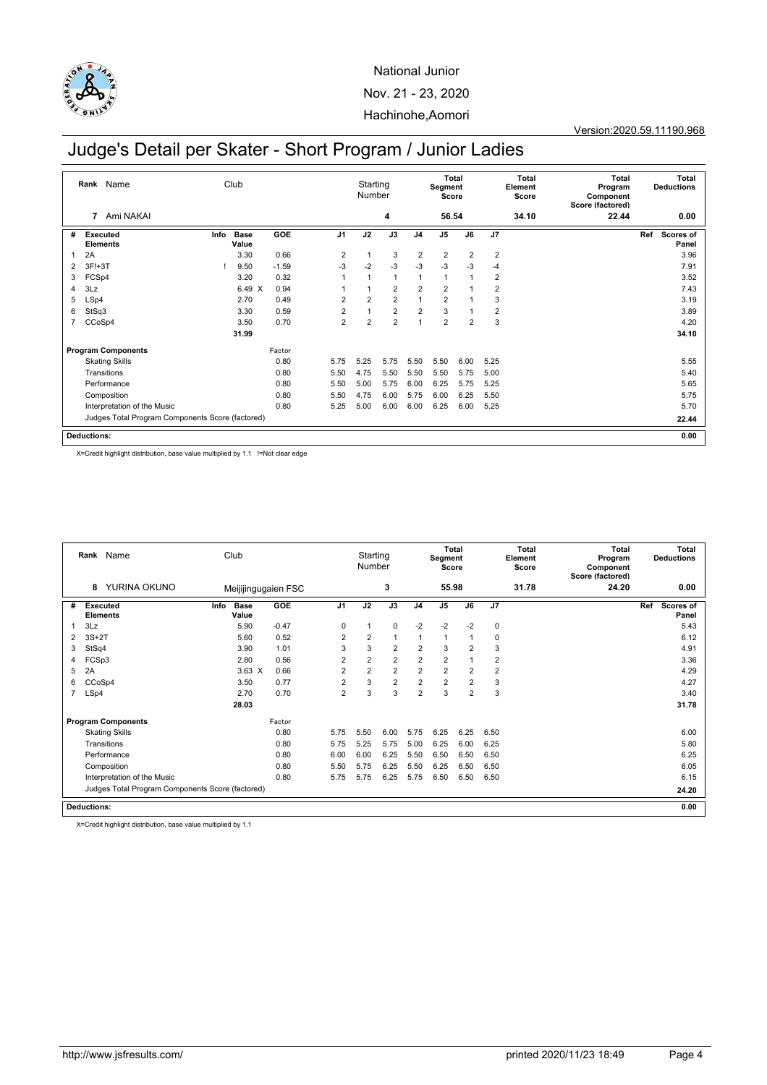

# Judge's Detail per Skater - Short Program / Junior Ladies

|                | Rank<br>Name                                     |      | Club                 |         |                | Starting<br>Number |                |                | Segment<br>Score | <b>Total</b>   |                | Total<br>Element<br>Score | Total<br>Program<br>Component<br>Score (factored) |     | <b>Total</b><br><b>Deductions</b> |
|----------------|--------------------------------------------------|------|----------------------|---------|----------------|--------------------|----------------|----------------|------------------|----------------|----------------|---------------------------|---------------------------------------------------|-----|-----------------------------------|
|                | Ami NAKAI<br>7                                   |      |                      |         |                |                    | 4              |                | 56.54            |                |                | 34.10                     | 22.44                                             |     | 0.00                              |
| #              | Executed<br><b>Elements</b>                      | Info | <b>Base</b><br>Value | GOE     | J <sub>1</sub> | J2                 | J3             | J <sub>4</sub> | J <sub>5</sub>   | J6             | J <sub>7</sub> |                           |                                                   | Ref | Scores of<br>Panel                |
|                | 2A                                               |      | 3.30                 | 0.66    | $\overline{2}$ | 1                  | 3              | $\overline{2}$ | $\overline{2}$   | 2              | $\overline{2}$ |                           |                                                   |     | 3.96                              |
| 2              | $3F!+3T$                                         |      | 9.50                 | $-1.59$ | $-3$           | $-2$               | $-3$           | $-3$           | $-3$             | $-3$           | $-4$           |                           |                                                   |     | 7.91                              |
| 3              | FCSp4                                            |      | 3.20                 | 0.32    |                | 1                  | $\mathbf{1}$   | 1              | $\overline{1}$   |                | $\overline{2}$ |                           |                                                   |     | 3.52                              |
| 4              | 3Lz                                              |      | 6.49 X               | 0.94    |                |                    | $\overline{2}$ | $\overline{2}$ | $\overline{2}$   |                | 2              |                           |                                                   |     | 7.43                              |
| 5              | LSp4                                             |      | 2.70                 | 0.49    | $\overline{2}$ | $\overline{2}$     | $\overline{2}$ | 1              | $\overline{2}$   |                | 3              |                           |                                                   |     | 3.19                              |
| 6              | StSq3                                            |      | 3.30                 | 0.59    | $\overline{2}$ |                    | $\overline{2}$ | $\overline{2}$ | 3                |                | 2              |                           |                                                   |     | 3.89                              |
| $\overline{7}$ | CCoSp4                                           |      | 3.50                 | 0.70    | $\overline{2}$ | $\overline{2}$     | $\overline{2}$ | 1              | $\overline{2}$   | $\overline{2}$ | 3              |                           |                                                   |     | 4.20                              |
|                |                                                  |      | 31.99                |         |                |                    |                |                |                  |                |                |                           |                                                   |     | 34.10                             |
|                | <b>Program Components</b>                        |      |                      | Factor  |                |                    |                |                |                  |                |                |                           |                                                   |     |                                   |
|                | <b>Skating Skills</b>                            |      |                      | 0.80    | 5.75           | 5.25               | 5.75           | 5.50           | 5.50             | 6.00           | 5.25           |                           |                                                   |     | 5.55                              |
|                | Transitions                                      |      |                      | 0.80    | 5.50           | 4.75               | 5.50           | 5.50           | 5.50             | 5.75           | 5.00           |                           |                                                   |     | 5.40                              |
|                | Performance                                      |      |                      | 0.80    | 5.50           | 5.00               | 5.75           | 6.00           | 6.25             | 5.75           | 5.25           |                           |                                                   |     | 5.65                              |
|                | Composition                                      |      |                      | 0.80    | 5.50           | 4.75               | 6.00           | 5.75           | 6.00             | 6.25           | 5.50           |                           |                                                   |     | 5.75                              |
|                | Interpretation of the Music                      |      |                      | 0.80    | 5.25           | 5.00               | 6.00           | 6.00           | 6.25             | 6.00           | 5.25           |                           |                                                   |     | 5.70                              |
|                | Judges Total Program Components Score (factored) |      |                      |         |                |                    |                |                |                  |                |                |                           |                                                   |     | 22.44                             |
|                | <b>Deductions:</b>                               |      |                      |         |                |                    |                |                |                  |                |                |                           |                                                   |     | 0.00                              |

X=Credit highlight distribution, base value multiplied by 1.1 !=Not clear edge

|   | Rank Name                   |                                                  | Club                 |                     |                | Starting<br>Number |                |                | <b>Total</b><br>Segment<br>Score |                |                | Total<br>Element<br>Score | <b>Total</b><br>Program<br>Component<br>Score (factored) |     | <b>Total</b><br><b>Deductions</b> |
|---|-----------------------------|--------------------------------------------------|----------------------|---------------------|----------------|--------------------|----------------|----------------|----------------------------------|----------------|----------------|---------------------------|----------------------------------------------------------|-----|-----------------------------------|
|   | 8                           | YURINA OKUNO                                     |                      | Meijijingugaien FSC |                |                    | 3              |                | 55.98                            |                |                | 31.78                     | 24.20                                                    |     | 0.00                              |
| # | Executed<br><b>Elements</b> | Info                                             | <b>Base</b><br>Value | <b>GOE</b>          | J <sub>1</sub> | J2                 | J3             | J <sub>4</sub> | J <sub>5</sub>                   | J6             | J <sub>7</sub> |                           |                                                          | Ref | Scores of<br>Panel                |
|   | 3Lz                         |                                                  | 5.90                 | $-0.47$             | $\mathbf 0$    |                    | $\Omega$       | $-2$           | $-2$                             | $-2$           | $\mathbf 0$    |                           |                                                          |     | 5.43                              |
| 2 | $3S+2T$                     |                                                  | 5.60                 | 0.52                | $\overline{2}$ | $\overline{2}$     | 1              | 1              | $\overline{1}$                   | 1              | 0              |                           |                                                          |     | 6.12                              |
| 3 | StSq4                       |                                                  | 3.90                 | 1.01                | 3              | 3                  | 2              | $\overline{2}$ | 3                                | $\overline{2}$ | 3              |                           |                                                          |     | 4.91                              |
| 4 | FCSp3                       |                                                  | 2.80                 | 0.56                | $\overline{2}$ | $\overline{2}$     | $\overline{2}$ | $\overline{2}$ | $\overline{2}$                   | 1              | $\overline{2}$ |                           |                                                          |     | 3.36                              |
| 5 | 2A                          |                                                  | $3.63 \times$        | 0.66                | $\overline{2}$ | $\overline{2}$     | $\overline{2}$ | $\overline{2}$ | $\overline{2}$                   | $\overline{2}$ | $\overline{2}$ |                           |                                                          |     | 4.29                              |
| 6 | CCoSp4                      |                                                  | 3.50                 | 0.77                | $\overline{2}$ | 3                  | 2              | 2              | $\overline{2}$                   | $\overline{2}$ | 3              |                           |                                                          |     | 4.27                              |
| 7 | LSp4                        |                                                  | 2.70                 | 0.70                | $\overline{2}$ | 3                  | 3              | $\overline{2}$ | 3                                | $\overline{2}$ | 3              |                           |                                                          |     | 3.40                              |
|   |                             |                                                  | 28.03                |                     |                |                    |                |                |                                  |                |                |                           |                                                          |     | 31.78                             |
|   | <b>Program Components</b>   |                                                  |                      | Factor              |                |                    |                |                |                                  |                |                |                           |                                                          |     |                                   |
|   | <b>Skating Skills</b>       |                                                  |                      | 0.80                | 5.75           | 5.50               | 6.00           | 5.75           | 6.25                             | 6.25           | 6.50           |                           |                                                          |     | 6.00                              |
|   | Transitions                 |                                                  |                      | 0.80                | 5.75           | 5.25               | 5.75           | 5.00           | 6.25                             | 6.00           | 6.25           |                           |                                                          |     | 5.80                              |
|   | Performance                 |                                                  |                      | 0.80                | 6.00           | 6.00               | 6.25           | 5.50           | 6.50                             | 6.50           | 6.50           |                           |                                                          |     | 6.25                              |
|   | Composition                 |                                                  |                      | 0.80                | 5.50           | 5.75               | 6.25           | 5.50           | 6.25                             | 6.50           | 6.50           |                           |                                                          |     | 6.05                              |
|   | Interpretation of the Music |                                                  |                      | 0.80                | 5.75           | 5.75               | 6.25           | 5.75           | 6.50                             | 6.50           | 6.50           |                           |                                                          |     | 6.15                              |
|   |                             | Judges Total Program Components Score (factored) |                      |                     |                |                    |                |                |                                  |                |                |                           |                                                          |     | 24.20                             |
|   | <b>Deductions:</b>          |                                                  |                      |                     |                |                    |                |                |                                  |                |                |                           |                                                          |     | 0.00                              |

X=Credit highlight distribution, base value multiplied by 1.1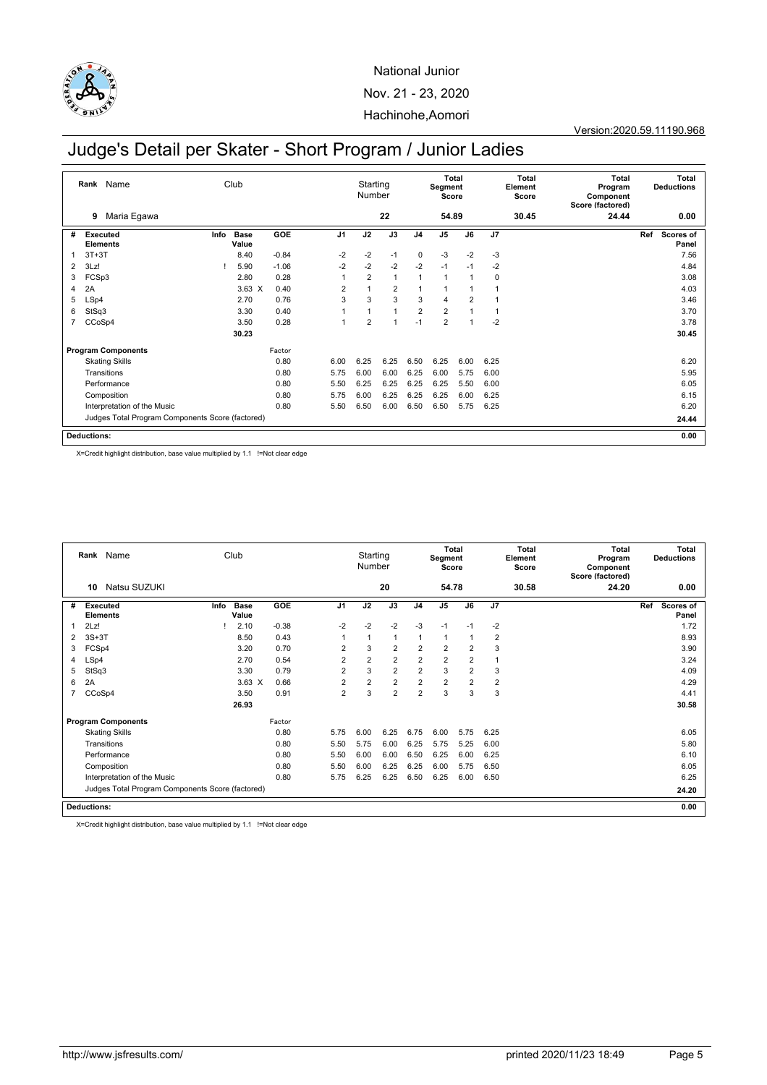

# Judge's Detail per Skater - Short Program / Junior Ladies

|                | Rank<br>Name                                     |      | Club                 |         |                | Starting<br>Number |                |                | <b>Total</b><br>Segment<br>Score |                |                | Total<br>Element<br>Score | Total<br>Program<br>Component<br>Score (factored) | <b>Total</b><br><b>Deductions</b> |
|----------------|--------------------------------------------------|------|----------------------|---------|----------------|--------------------|----------------|----------------|----------------------------------|----------------|----------------|---------------------------|---------------------------------------------------|-----------------------------------|
|                | Maria Egawa<br>9                                 |      |                      |         |                |                    | 22             |                | 54.89                            |                |                | 30.45                     | 24.44                                             | 0.00                              |
| #              | Executed<br><b>Elements</b>                      | Info | <b>Base</b><br>Value | GOE     | J <sub>1</sub> | J2                 | J3             | J <sub>4</sub> | J <sub>5</sub>                   | J6             | J <sub>7</sub> |                           |                                                   | Ref<br>Scores of<br>Panel         |
|                | $3T+3T$                                          |      | 8.40                 | $-0.84$ | $-2$           | $-2$               | $-1$           | 0              | $-3$                             | $-2$           | $-3$           |                           |                                                   | 7.56                              |
| 2              | 3Lz!                                             |      | 5.90                 | $-1.06$ | $-2$           | $-2$               | $-2$           | $-2$           | $-1$                             | $-1$           | $-2$           |                           |                                                   | 4.84                              |
| 3              | FCSp3                                            |      | 2.80                 | 0.28    |                | $\overline{2}$     | $\mathbf{1}$   | 1              | $\overline{1}$                   |                | $\mathbf 0$    |                           |                                                   | 3.08                              |
| 4              | 2A                                               |      | $3.63 \times$        | 0.40    | $\overline{2}$ |                    | $\overline{2}$ | 1              | 1                                |                |                |                           |                                                   | 4.03                              |
| 5              | LSp4                                             |      | 2.70                 | 0.76    | 3              | 3                  | 3              | 3              | 4                                | $\overline{2}$ |                |                           |                                                   | 3.46                              |
| 6              | StSq3                                            |      | 3.30                 | 0.40    |                |                    | $\mathbf{1}$   | $\overline{2}$ | $\overline{2}$                   |                |                |                           |                                                   | 3.70                              |
| $\overline{7}$ | CCoSp4                                           |      | 3.50                 | 0.28    | $\overline{1}$ | $\overline{2}$     | $\overline{1}$ | $-1$           | $\overline{2}$                   |                | $-2$           |                           |                                                   | 3.78                              |
|                |                                                  |      | 30.23                |         |                |                    |                |                |                                  |                |                |                           |                                                   | 30.45                             |
|                | <b>Program Components</b>                        |      |                      | Factor  |                |                    |                |                |                                  |                |                |                           |                                                   |                                   |
|                | <b>Skating Skills</b>                            |      |                      | 0.80    | 6.00           | 6.25               | 6.25           | 6.50           | 6.25                             | 6.00           | 6.25           |                           |                                                   | 6.20                              |
|                | Transitions                                      |      |                      | 0.80    | 5.75           | 6.00               | 6.00           | 6.25           | 6.00                             | 5.75           | 6.00           |                           |                                                   | 5.95                              |
|                | Performance                                      |      |                      | 0.80    | 5.50           | 6.25               | 6.25           | 6.25           | 6.25                             | 5.50           | 6.00           |                           |                                                   | 6.05                              |
|                | Composition                                      |      |                      | 0.80    | 5.75           | 6.00               | 6.25           | 6.25           | 6.25                             | 6.00           | 6.25           |                           |                                                   | 6.15                              |
|                | Interpretation of the Music                      |      |                      | 0.80    | 5.50           | 6.50               | 6.00           | 6.50           | 6.50                             | 5.75           | 6.25           |                           |                                                   | 6.20                              |
|                | Judges Total Program Components Score (factored) |      |                      |         |                |                    |                |                |                                  |                |                |                           |                                                   | 24.44                             |
|                | <b>Deductions:</b>                               |      |                      |         |                |                    |                |                |                                  |                |                |                           |                                                   | 0.00                              |

X=Credit highlight distribution, base value multiplied by 1.1 !=Not clear edge

|   | Rank Name                                        |      | Club                 |         |                | Starting<br>Number |                |                | <b>Total</b><br>Segment<br>Score |                |                | Total<br>Element<br>Score | <b>Total</b><br>Program<br>Component<br>Score (factored) |     | Total<br><b>Deductions</b> |
|---|--------------------------------------------------|------|----------------------|---------|----------------|--------------------|----------------|----------------|----------------------------------|----------------|----------------|---------------------------|----------------------------------------------------------|-----|----------------------------|
|   | Natsu SUZUKI<br>10                               |      |                      |         |                |                    | 20             |                | 54.78                            |                |                | 30.58                     | 24.20                                                    |     | 0.00                       |
| # | <b>Executed</b><br><b>Elements</b>               | Info | <b>Base</b><br>Value | GOE     | J <sub>1</sub> | J2                 | J3             | J <sub>4</sub> | J5                               | J6             | J7             |                           |                                                          | Ref | <b>Scores of</b><br>Panel  |
|   | 2Lz!                                             |      | 2.10                 | $-0.38$ | $-2$           | $-2$               | $-2$           | $-3$           | $-1$                             | $-1$           | $-2$           |                           |                                                          |     | 1.72                       |
| 2 | $3S+3T$                                          |      | 8.50                 | 0.43    |                |                    | 1              | 1              | 1                                | $\mathbf{1}$   | $\overline{2}$ |                           |                                                          |     | 8.93                       |
| 3 | FCSp4                                            |      | 3.20                 | 0.70    | $\overline{2}$ | 3                  | 2              | $\overline{2}$ | $\overline{2}$                   | $\overline{2}$ | 3              |                           |                                                          |     | 3.90                       |
| 4 | LSp4                                             |      | 2.70                 | 0.54    | $\overline{2}$ | $\overline{2}$     | $\overline{2}$ | $\overline{2}$ | $\overline{2}$                   | $\overline{2}$ |                |                           |                                                          |     | 3.24                       |
| 5 | StSq3                                            |      | 3.30                 | 0.79    | $\overline{2}$ | 3                  | $\overline{2}$ | $\overline{2}$ | 3                                | $\overline{2}$ | 3              |                           |                                                          |     | 4.09                       |
| 6 | 2A                                               |      | $3.63 \times$        | 0.66    | $\overline{2}$ | $\overline{2}$     | $\overline{2}$ | $\overline{2}$ | 2                                | $\overline{2}$ | $\overline{2}$ |                           |                                                          |     | 4.29                       |
| 7 | CCoSp4                                           |      | 3.50                 | 0.91    | $\overline{2}$ | 3                  | $\overline{2}$ | $\overline{2}$ | 3                                | 3              | 3              |                           |                                                          |     | 4.41                       |
|   |                                                  |      | 26.93                |         |                |                    |                |                |                                  |                |                |                           |                                                          |     | 30.58                      |
|   | <b>Program Components</b>                        |      |                      | Factor  |                |                    |                |                |                                  |                |                |                           |                                                          |     |                            |
|   | <b>Skating Skills</b>                            |      |                      | 0.80    | 5.75           | 6.00               | 6.25           | 6.75           | 6.00                             | 5.75           | 6.25           |                           |                                                          |     | 6.05                       |
|   | Transitions                                      |      |                      | 0.80    | 5.50           | 5.75               | 6.00           | 6.25           | 5.75                             | 5.25           | 6.00           |                           |                                                          |     | 5.80                       |
|   | Performance                                      |      |                      | 0.80    | 5.50           | 6.00               | 6.00           | 6.50           | 6.25                             | 6.00           | 6.25           |                           |                                                          |     | 6.10                       |
|   | Composition                                      |      |                      | 0.80    | 5.50           | 6.00               | 6.25           | 6.25           | 6.00                             | 5.75           | 6.50           |                           |                                                          |     | 6.05                       |
|   | Interpretation of the Music                      |      |                      | 0.80    | 5.75           | 6.25               | 6.25           | 6.50           | 6.25                             | 6.00           | 6.50           |                           |                                                          |     | 6.25                       |
|   | Judges Total Program Components Score (factored) |      |                      |         |                |                    |                |                |                                  |                |                |                           |                                                          |     | 24.20                      |
|   | <b>Deductions:</b>                               |      |                      |         |                |                    |                |                |                                  |                |                |                           |                                                          |     | 0.00                       |

X=Credit highlight distribution, base value multiplied by 1.1 !=Not clear edge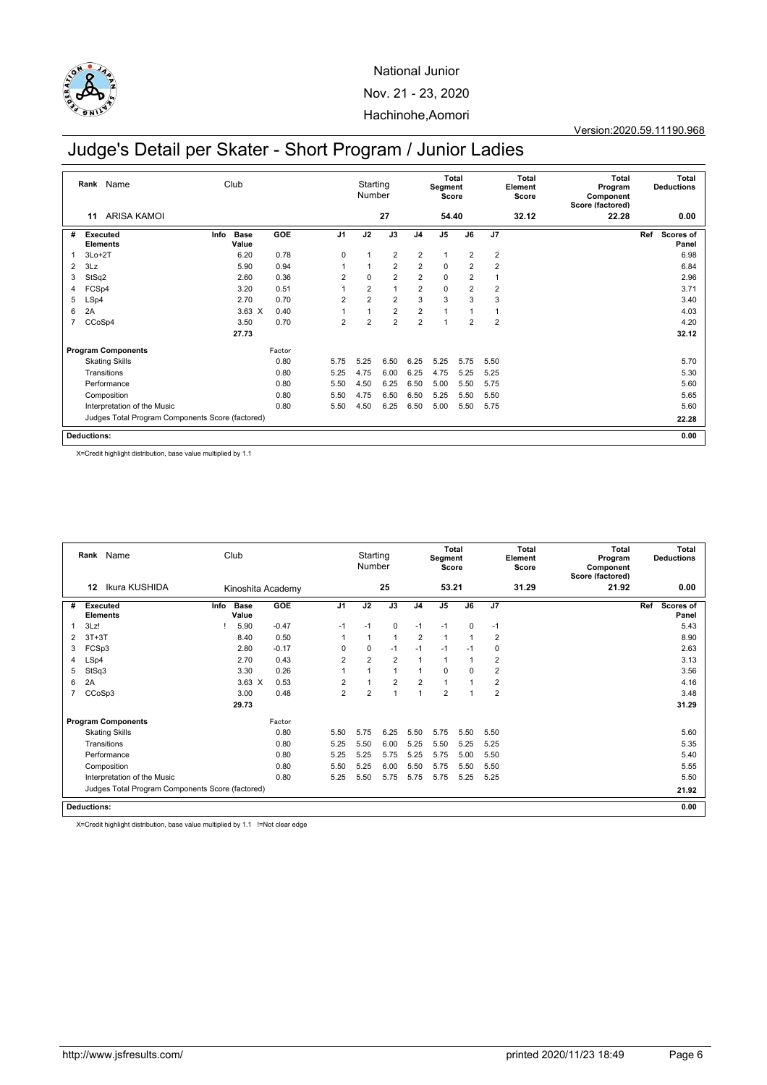

Version:2020.59.11190.968

# Judge's Detail per Skater - Short Program / Junior Ladies

|                | Rank<br>Name                                     |      | Club                 |        |                | Starting<br>Number |                |                | <b>Total</b><br>Segment<br>Score |                |                | Total<br>Element<br>Score | Total<br>Program<br>Component<br>Score (factored) | <b>Total</b><br><b>Deductions</b> |
|----------------|--------------------------------------------------|------|----------------------|--------|----------------|--------------------|----------------|----------------|----------------------------------|----------------|----------------|---------------------------|---------------------------------------------------|-----------------------------------|
|                | <b>ARISA KAMOL</b><br>11                         |      |                      |        |                |                    | 27             |                | 54.40                            |                |                | 32.12                     | 22.28                                             | 0.00                              |
| #              | Executed<br><b>Elements</b>                      | Info | <b>Base</b><br>Value | GOE    | J <sub>1</sub> | J2                 | J3             | J <sub>4</sub> | J <sub>5</sub>                   | J6             | J <sub>7</sub> |                           |                                                   | Ref<br>Scores of<br>Panel         |
|                | $3Lo+2T$                                         |      | 6.20                 | 0.78   | 0              | 1                  | 2              | $\overline{2}$ | $\overline{1}$                   | $\overline{2}$ | $\overline{2}$ |                           |                                                   | 6.98                              |
| 2              | 3Lz                                              |      | 5.90                 | 0.94   |                | 1                  | $\overline{2}$ | $\overline{2}$ | $\mathbf 0$                      | 2              | $\overline{2}$ |                           |                                                   | 6.84                              |
| 3              | StSq2                                            |      | 2.60                 | 0.36   | $\overline{2}$ | 0                  | $\overline{2}$ | 2              | $\mathbf 0$                      | $\overline{2}$ |                |                           |                                                   | 2.96                              |
| 4              | FCSp4                                            |      | 3.20                 | 0.51   |                | $\overline{2}$     | $\mathbf{1}$   | $\overline{2}$ | $\mathbf 0$                      | $\overline{2}$ | $\overline{2}$ |                           |                                                   | 3.71                              |
| 5              | LSp4                                             |      | 2.70                 | 0.70   | $\overline{2}$ | $\overline{2}$     | $\overline{2}$ | 3              | 3                                | 3              | 3              |                           |                                                   | 3.40                              |
| 6              | 2A                                               |      | $3.63 \times$        | 0.40   |                |                    | $\overline{2}$ | $\overline{2}$ | 1                                |                |                |                           |                                                   | 4.03                              |
| $\overline{7}$ | CCoSp4                                           |      | 3.50                 | 0.70   | $\overline{2}$ | $\overline{2}$     | $\overline{2}$ | $\overline{2}$ | 1                                | 2              | $\overline{2}$ |                           |                                                   | 4.20                              |
|                |                                                  |      | 27.73                |        |                |                    |                |                |                                  |                |                |                           |                                                   | 32.12                             |
|                | <b>Program Components</b>                        |      |                      | Factor |                |                    |                |                |                                  |                |                |                           |                                                   |                                   |
|                | <b>Skating Skills</b>                            |      |                      | 0.80   | 5.75           | 5.25               | 6.50           | 6.25           | 5.25                             | 5.75           | 5.50           |                           |                                                   | 5.70                              |
|                | Transitions                                      |      |                      | 0.80   | 5.25           | 4.75               | 6.00           | 6.25           | 4.75                             | 5.25           | 5.25           |                           |                                                   | 5.30                              |
|                | Performance                                      |      |                      | 0.80   | 5.50           | 4.50               | 6.25           | 6.50           | 5.00                             | 5.50           | 5.75           |                           |                                                   | 5.60                              |
|                | Composition                                      |      |                      | 0.80   | 5.50           | 4.75               | 6.50           | 6.50           | 5.25                             | 5.50           | 5.50           |                           |                                                   | 5.65                              |
|                | Interpretation of the Music                      |      |                      | 0.80   | 5.50           | 4.50               | 6.25           | 6.50           | 5.00                             | 5.50           | 5.75           |                           |                                                   | 5.60                              |
|                | Judges Total Program Components Score (factored) |      |                      |        |                |                    |                |                |                                  |                |                |                           |                                                   | 22.28                             |
|                | <b>Deductions:</b>                               |      |                      |        |                |                    |                |                |                                  |                |                |                           |                                                   | 0.00                              |

X=Credit highlight distribution, base value multiplied by 1.1

|   | Rank Name                          | Club                                             |               |                   |                | Starting<br>Number |                |                | Segment<br>Score | Total          |                | Total<br>Element<br>Score | <b>Total</b><br>Program<br>Component<br>Score (factored) |     | Total<br><b>Deductions</b> |
|---|------------------------------------|--------------------------------------------------|---------------|-------------------|----------------|--------------------|----------------|----------------|------------------|----------------|----------------|---------------------------|----------------------------------------------------------|-----|----------------------------|
|   | Ikura KUSHIDA<br>12                |                                                  |               | Kinoshita Academy |                |                    | 25             |                | 53.21            |                |                | 31.29                     | 21.92                                                    |     | 0.00                       |
| # | <b>Executed</b><br><b>Elements</b> | Base<br>Info<br>Value                            |               | <b>GOE</b>        | J <sub>1</sub> | J2                 | J3             | J <sub>4</sub> | J <sub>5</sub>   | J6             | J7             |                           |                                                          | Ref | <b>Scores of</b><br>Panel  |
|   | 3Lz!                               |                                                  | 5.90          | $-0.47$           | $-1$           | $-1$               | $\mathbf 0$    | $-1$           | $-1$             | $\Omega$       | $-1$           |                           |                                                          |     | 5.43                       |
| 2 | $3T+3T$                            |                                                  | 8.40          | 0.50              |                | $\overline{1}$     | 1              | $\overline{2}$ | $\overline{1}$   |                | $\overline{2}$ |                           |                                                          |     | 8.90                       |
| 3 | FCSp3                              |                                                  | 2.80          | $-0.17$           | 0              | 0                  | $-1$           | $-1$           | $-1$             | $-1$           | 0              |                           |                                                          |     | 2.63                       |
| 4 | LSp4                               |                                                  | 2.70          | 0.43              | $\overline{2}$ | $\overline{2}$     | $\overline{2}$ | $\overline{1}$ | $\mathbf{1}$     | $\mathbf{1}$   | $\overline{2}$ |                           |                                                          |     | 3.13                       |
| 5 | StSq3                              |                                                  | 3.30          | 0.26              |                |                    | 1              | $\overline{1}$ | $\mathbf 0$      | $\Omega$       | $\overline{2}$ |                           |                                                          |     | 3.56                       |
| 6 | 2A                                 |                                                  | $3.63 \times$ | 0.53              | $\overline{2}$ | $\overline{1}$     | 2              | 2              | $\mathbf{1}$     |                | $\overline{2}$ |                           |                                                          |     | 4.16                       |
|   | CCoSp3                             |                                                  | 3.00          | 0.48              | $\overline{2}$ | 2                  | 1              | $\overline{1}$ | $\overline{2}$   | $\overline{ }$ | $\overline{2}$ |                           |                                                          |     | 3.48                       |
|   |                                    | 29.73                                            |               |                   |                |                    |                |                |                  |                |                |                           |                                                          |     | 31.29                      |
|   | <b>Program Components</b>          |                                                  |               | Factor            |                |                    |                |                |                  |                |                |                           |                                                          |     |                            |
|   | <b>Skating Skills</b>              |                                                  |               | 0.80              | 5.50           | 5.75               | 6.25           | 5.50           | 5.75             | 5.50           | 5.50           |                           |                                                          |     | 5.60                       |
|   | Transitions                        |                                                  |               | 0.80              | 5.25           | 5.50               | 6.00           | 5.25           | 5.50             | 5.25           | 5.25           |                           |                                                          |     | 5.35                       |
|   | Performance                        |                                                  |               | 0.80              | 5.25           | 5.25               | 5.75           | 5.25           | 5.75             | 5.00           | 5.50           |                           |                                                          |     | 5.40                       |
|   | Composition                        |                                                  |               | 0.80              | 5.50           | 5.25               | 6.00           | 5.50           | 5.75             | 5.50           | 5.50           |                           |                                                          |     | 5.55                       |
|   | Interpretation of the Music        |                                                  |               | 0.80              | 5.25           | 5.50               | 5.75           | 5.75           | 5.75             | 5.25           | 5.25           |                           |                                                          |     | 5.50                       |
|   |                                    | Judges Total Program Components Score (factored) |               |                   |                |                    |                |                |                  |                |                |                           |                                                          |     | 21.92                      |
|   | <b>Deductions:</b>                 |                                                  |               |                   |                |                    |                |                |                  |                |                |                           |                                                          |     | 0.00                       |

X=Credit highlight distribution, base value multiplied by 1.1 !=Not clear edge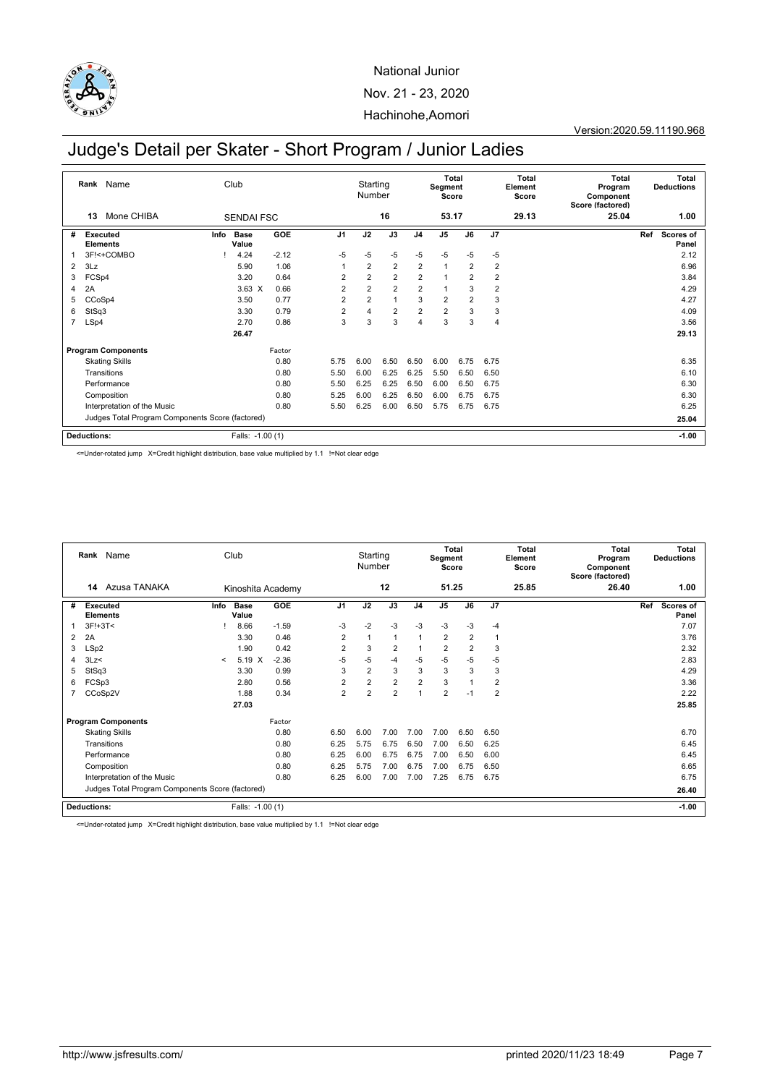

# Judge's Detail per Skater - Short Program / Junior Ladies

|                | Name<br>Rank<br>Mone CHIBA<br>13                 |      | Club                 |         |                | Starting<br>Number |                |                | Total<br>Segment<br>Score |                |                | Total<br>Element<br>Score | Total<br>Program<br>Component<br>Score (factored) |     | Total<br><b>Deductions</b> |
|----------------|--------------------------------------------------|------|----------------------|---------|----------------|--------------------|----------------|----------------|---------------------------|----------------|----------------|---------------------------|---------------------------------------------------|-----|----------------------------|
|                |                                                  |      | <b>SENDAI FSC</b>    |         |                |                    | 16             |                | 53.17                     |                |                | 29.13                     | 25.04                                             |     | 1.00                       |
| #              | Executed<br><b>Elements</b>                      | Info | <b>Base</b><br>Value | GOE     | J <sub>1</sub> | J2                 | J3             | J <sub>4</sub> | J <sub>5</sub>            | J6             | J <sub>7</sub> |                           |                                                   | Ref | Scores of<br>Panel         |
|                | 3F!<+COMBO                                       |      | 4.24                 | $-2.12$ | $-5$           | $-5$               | $-5$           | $-5$           | $-5$                      | $-5$           | $-5$           |                           |                                                   |     | 2.12                       |
| 2              | 3Lz                                              |      | 5.90                 | 1.06    | $\overline{1}$ | $\overline{2}$     | 2              | $\overline{2}$ | $\overline{1}$            | $\overline{2}$ | $\overline{2}$ |                           |                                                   |     | 6.96                       |
| 3              | FCSp4                                            |      | 3.20                 | 0.64    | $\overline{2}$ | $\overline{2}$     | $\overline{2}$ | $\overline{2}$ | 1                         | $\overline{2}$ | $\overline{2}$ |                           |                                                   |     | 3.84                       |
| 4              | 2A                                               |      | $3.63 \times$        | 0.66    | $\overline{2}$ | $\overline{2}$     | $\overline{2}$ | $\overline{c}$ | 1                         | 3              | $\overline{2}$ |                           |                                                   |     | 4.29                       |
| 5              | CCoSp4                                           |      | 3.50                 | 0.77    | $\overline{2}$ | $\overline{2}$     | $\mathbf{1}$   | 3              | $\overline{2}$            | $\overline{2}$ | 3              |                           |                                                   |     | 4.27                       |
| 6              | StSq3                                            |      | 3.30                 | 0.79    | $\overline{2}$ | 4                  | $\overline{2}$ | $\overline{2}$ | $\overline{2}$            | 3              | 3              |                           |                                                   |     | 4.09                       |
| $\overline{7}$ | LSp4                                             |      | 2.70                 | 0.86    | 3              | 3                  | 3              | 4              | 3                         | 3              | $\overline{4}$ |                           |                                                   |     | 3.56                       |
|                |                                                  |      | 26.47                |         |                |                    |                |                |                           |                |                |                           |                                                   |     | 29.13                      |
|                | <b>Program Components</b>                        |      |                      | Factor  |                |                    |                |                |                           |                |                |                           |                                                   |     |                            |
|                | <b>Skating Skills</b>                            |      |                      | 0.80    | 5.75           | 6.00               | 6.50           | 6.50           | 6.00                      | 6.75           | 6.75           |                           |                                                   |     | 6.35                       |
|                | Transitions                                      |      |                      | 0.80    | 5.50           | 6.00               | 6.25           | 6.25           | 5.50                      | 6.50           | 6.50           |                           |                                                   |     | 6.10                       |
|                | Performance                                      |      |                      | 0.80    | 5.50           | 6.25               | 6.25           | 6.50           | 6.00                      | 6.50           | 6.75           |                           |                                                   |     | 6.30                       |
|                | Composition                                      |      |                      | 0.80    | 5.25           | 6.00               | 6.25           | 6.50           | 6.00                      | 6.75           | 6.75           |                           |                                                   |     | 6.30                       |
|                | Interpretation of the Music                      |      |                      | 0.80    | 5.50           | 6.25               | 6.00           | 6.50           | 5.75                      | 6.75           | 6.75           |                           |                                                   |     | 6.25                       |
|                | Judges Total Program Components Score (factored) |      |                      |         |                |                    |                |                |                           |                |                |                           |                                                   |     | 25.04                      |
|                | <b>Deductions:</b>                               |      | Falls: -1.00 (1)     |         |                |                    |                |                |                           |                |                |                           |                                                   |     | $-1.00$                    |

<=Under-rotated jump X=Credit highlight distribution, base value multiplied by 1.1 !=Not clear edge

|   | Rank Name<br>Azusa TANAKA<br>14                  |         | Club                 |            |                | Starting<br>Number |                |                | Segment<br>Score | Total          |                | Total<br>Element<br>Score | Total<br>Program<br>Component<br>Score (factored) | <b>Deductions</b>       | Total   |
|---|--------------------------------------------------|---------|----------------------|------------|----------------|--------------------|----------------|----------------|------------------|----------------|----------------|---------------------------|---------------------------------------------------|-------------------------|---------|
|   |                                                  |         | Kinoshita Academy    |            |                |                    | 12             |                | 51.25            |                |                | 25.85                     | 26.40                                             |                         | 1.00    |
| # | <b>Executed</b><br><b>Elements</b>               | Info    | <b>Base</b><br>Value | <b>GOE</b> | J <sub>1</sub> | J2                 | J3             | J <sub>4</sub> | J5               | J6             | J7             |                           |                                                   | Ref<br><b>Scores of</b> | Panel   |
|   | $3F!+3T<$                                        |         | 8.66                 | $-1.59$    | $-3$           | $-2$               | $-3$           | $-3$           | $-3$             | $-3$           | $-4$           |                           |                                                   |                         | 7.07    |
| 2 | 2A                                               |         | 3.30                 | 0.46       | $\overline{2}$ |                    | 1              | 1              | $\overline{2}$   | $\overline{2}$ | $\mathbf{1}$   |                           |                                                   |                         | 3.76    |
| 3 | LSp2                                             |         | 1.90                 | 0.42       | $\overline{2}$ | 3                  | $\overline{2}$ |                | $\overline{2}$   | $\overline{2}$ | 3              |                           |                                                   |                         | 2.32    |
| 4 | 3Lz<                                             | $\prec$ | $5.19 \text{ X}$     | $-2.36$    | $-5$           | $-5$               | $-4$           | $-5$           | $-5$             | $-5$           | $-5$           |                           |                                                   |                         | 2.83    |
| 5 | StSq3                                            |         | 3.30                 | 0.99       | 3              | $\overline{2}$     | 3              | 3              | 3                | 3              | 3              |                           |                                                   |                         | 4.29    |
| 6 | FCSp3                                            |         | 2.80                 | 0.56       | $\overline{2}$ | $\overline{2}$     | $\overline{2}$ | $\overline{2}$ | 3                |                | $\overline{2}$ |                           |                                                   |                         | 3.36    |
|   | CCoSp2V                                          |         | 1.88                 | 0.34       | $\overline{2}$ | $\overline{2}$     | $\overline{2}$ | 1              | $\overline{2}$   | $-1$           | $\overline{2}$ |                           |                                                   |                         | 2.22    |
|   |                                                  |         | 27.03                |            |                |                    |                |                |                  |                |                |                           |                                                   |                         | 25.85   |
|   | <b>Program Components</b>                        |         |                      | Factor     |                |                    |                |                |                  |                |                |                           |                                                   |                         |         |
|   | <b>Skating Skills</b>                            |         |                      | 0.80       | 6.50           | 6.00               | 7.00           | 7.00           | 7.00             | 6.50           | 6.50           |                           |                                                   |                         | 6.70    |
|   | Transitions                                      |         |                      | 0.80       | 6.25           | 5.75               | 6.75           | 6.50           | 7.00             | 6.50           | 6.25           |                           |                                                   |                         | 6.45    |
|   | Performance                                      |         |                      | 0.80       | 6.25           | 6.00               | 6.75           | 6.75           | 7.00             | 6.50           | 6.00           |                           |                                                   |                         | 6.45    |
|   | Composition                                      |         |                      | 0.80       | 6.25           | 5.75               | 7.00           | 6.75           | 7.00             | 6.75           | 6.50           |                           |                                                   |                         | 6.65    |
|   | Interpretation of the Music                      |         |                      | 0.80       | 6.25           | 6.00               | 7.00           | 7.00           | 7.25             | 6.75           | 6.75           |                           |                                                   |                         | 6.75    |
|   | Judges Total Program Components Score (factored) |         |                      |            |                |                    |                |                |                  |                |                |                           |                                                   |                         | 26.40   |
|   | <b>Deductions:</b>                               |         | Falls: -1.00 (1)     |            |                |                    |                |                |                  |                |                |                           |                                                   |                         | $-1.00$ |

<=Under-rotated jump X=Credit highlight distribution, base value multiplied by 1.1 !=Not clear edge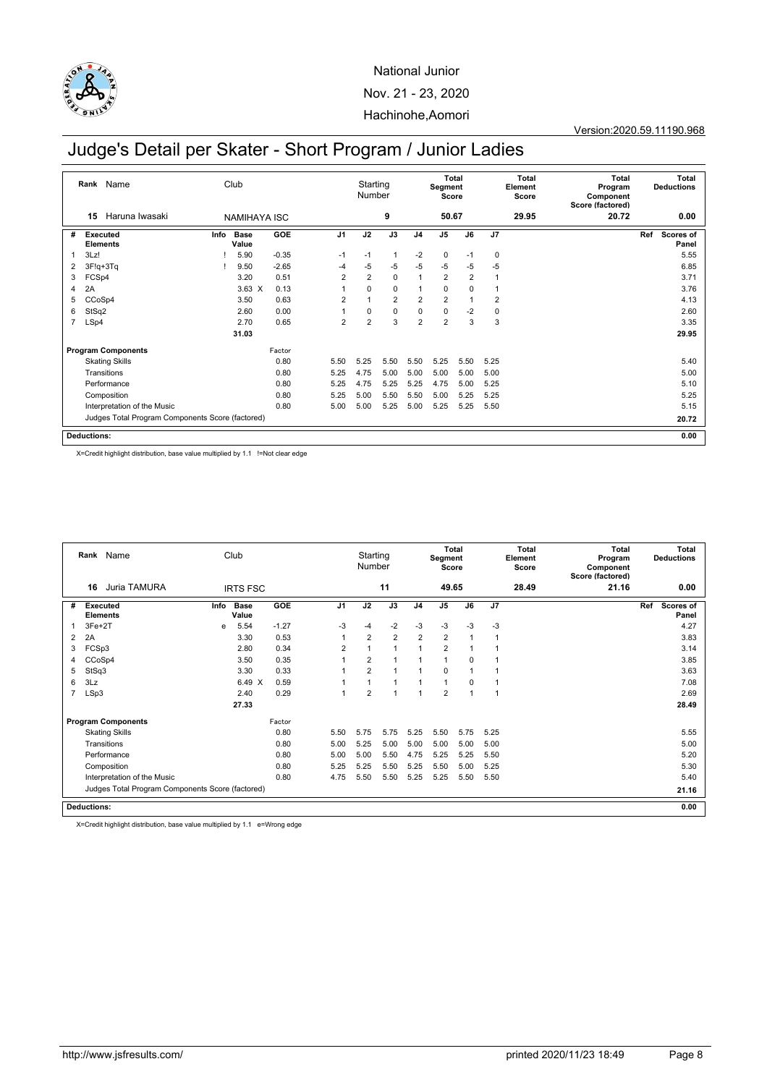

Version:2020.59.11190.968

# Judge's Detail per Skater - Short Program / Junior Ladies

|                | Rank Name<br>Haruna Iwasaki<br>15                |      | Club                 |         |                | Starting<br>Number |                |                | <b>Total</b><br>Segment<br>Score |                |                | Total<br>Element<br>Score | <b>Total</b><br>Program<br>Component<br>Score (factored) |     | <b>Total</b><br><b>Deductions</b> |
|----------------|--------------------------------------------------|------|----------------------|---------|----------------|--------------------|----------------|----------------|----------------------------------|----------------|----------------|---------------------------|----------------------------------------------------------|-----|-----------------------------------|
|                |                                                  |      | <b>NAMIHAYA ISC</b>  |         |                |                    | 9              |                | 50.67                            |                |                | 29.95                     | 20.72                                                    |     | 0.00                              |
| #              | Executed<br><b>Elements</b>                      | Info | <b>Base</b><br>Value | GOE     | J <sub>1</sub> | J2                 | J3             | J <sub>4</sub> | J <sub>5</sub>                   | J6             | J7             |                           |                                                          | Ref | <b>Scores of</b><br>Panel         |
| 1              | 3Lz!                                             |      | 5.90                 | $-0.35$ | $-1$           | $-1$               | $\mathbf{1}$   | $-2$           | $\mathbf 0$                      | $-1$           | 0              |                           |                                                          |     | 5.55                              |
| 2              | $3F!q+3Tq$                                       |      | 9.50                 | $-2.65$ | $-4$           | $-5$               | $-5$           | $-5$           | $-5$                             | $-5$           | $-5$           |                           |                                                          |     | 6.85                              |
| 3              | FCSp4                                            |      | 3.20                 | 0.51    | $\overline{2}$ | $\overline{2}$     | $\mathbf 0$    | 1              | $\overline{2}$                   | $\overline{2}$ |                |                           |                                                          |     | 3.71                              |
| 4              | 2A                                               |      | $3.63 \times$        | 0.13    |                | 0                  | $\mathbf 0$    | 1              | $\mathbf 0$                      | 0              |                |                           |                                                          |     | 3.76                              |
| 5              | CCoSp4                                           |      | 3.50                 | 0.63    | $\overline{2}$ |                    | $\overline{2}$ | 2              | $\overline{2}$                   |                | $\overline{2}$ |                           |                                                          |     | 4.13                              |
| 6              | StSq2                                            |      | 2.60                 | 0.00    |                | 0                  | $\mathbf 0$    | $\mathbf 0$    | 0                                | $-2$           | 0              |                           |                                                          |     | 2.60                              |
| $\overline{7}$ | LSp4                                             |      | 2.70                 | 0.65    | $\overline{2}$ | $\overline{2}$     | 3              | $\overline{2}$ | $\overline{2}$                   | 3              | 3              |                           |                                                          |     | 3.35                              |
|                |                                                  |      | 31.03                |         |                |                    |                |                |                                  |                |                |                           |                                                          |     | 29.95                             |
|                | <b>Program Components</b>                        |      |                      | Factor  |                |                    |                |                |                                  |                |                |                           |                                                          |     |                                   |
|                | <b>Skating Skills</b>                            |      |                      | 0.80    | 5.50           | 5.25               | 5.50           | 5.50           | 5.25                             | 5.50           | 5.25           |                           |                                                          |     | 5.40                              |
|                | Transitions                                      |      |                      | 0.80    | 5.25           | 4.75               | 5.00           | 5.00           | 5.00                             | 5.00           | 5.00           |                           |                                                          |     | 5.00                              |
|                | Performance                                      |      |                      | 0.80    | 5.25           | 4.75               | 5.25           | 5.25           | 4.75                             | 5.00           | 5.25           |                           |                                                          |     | 5.10                              |
|                | Composition                                      |      |                      | 0.80    | 5.25           | 5.00               | 5.50           | 5.50           | 5.00                             | 5.25           | 5.25           |                           |                                                          |     | 5.25                              |
|                | Interpretation of the Music                      |      |                      | 0.80    | 5.00           | 5.00               | 5.25           | 5.00           | 5.25                             | 5.25           | 5.50           |                           |                                                          |     | 5.15                              |
|                | Judges Total Program Components Score (factored) |      |                      |         |                |                    |                |                |                                  |                |                | 20.72                     |                                                          |     |                                   |
|                | <b>Deductions:</b>                               |      |                      |         |                |                    |                |                |                                  |                |                |                           |                                                          |     | 0.00                              |

X=Credit highlight distribution, base value multiplied by 1.1 !=Not clear edge

|   | Club<br>Rank Name<br>Juria TAMURA<br>16<br><b>IRTS FSC</b> |      |                      |            | Starting<br>Number |                |      | <b>Total</b><br>Segment<br>Score |                |                | Total<br>Element<br>Score | <b>Total</b><br>Program<br>Component<br>Score (factored) |       | Total<br><b>Deductions</b> |                           |
|---|------------------------------------------------------------|------|----------------------|------------|--------------------|----------------|------|----------------------------------|----------------|----------------|---------------------------|----------------------------------------------------------|-------|----------------------------|---------------------------|
|   |                                                            |      |                      |            |                    |                | 11   |                                  | 49.65          |                |                           | 28.49                                                    | 21.16 |                            | 0.00                      |
| # | <b>Executed</b><br><b>Elements</b>                         | Info | <b>Base</b><br>Value | <b>GOE</b> | J <sub>1</sub>     | J2             | J3   | J <sub>4</sub>                   | J5             | J6             | J7                        |                                                          |       | Ref                        | <b>Scores of</b><br>Panel |
|   | $3Fe+2T$                                                   | e    | 5.54                 | $-1.27$    | $-3$               | $-4$           | $-2$ | $-3$                             | $-3$           | $-3$           | $-3$                      |                                                          |       |                            | 4.27                      |
| 2 | 2A                                                         |      | 3.30                 | 0.53       | 1                  | $\overline{2}$ | 2    | 2                                | $\overline{2}$ | $\mathbf{1}$   | 1                         |                                                          |       |                            | 3.83                      |
| 3 | FCSp3                                                      |      | 2.80                 | 0.34       | $\overline{2}$     |                | 1    | $\mathbf{1}$                     | $\overline{2}$ | 1              |                           |                                                          |       |                            | 3.14                      |
| 4 | CCoSp4                                                     |      | 3.50                 | 0.35       |                    | $\overline{2}$ | 1    | $\mathbf{1}$                     | $\overline{1}$ | $\Omega$       |                           |                                                          |       |                            | 3.85                      |
| 5 | StSq3                                                      |      | 3.30                 | 0.33       |                    | $\overline{2}$ | -1   | 1                                | $\mathbf 0$    | $\overline{1}$ | 1                         |                                                          |       |                            | 3.63                      |
| 6 | 3Lz                                                        |      | 6.49<br>X            | 0.59       |                    |                | -1   | $\mathbf{1}$                     | 1              | $\mathbf 0$    | 1                         |                                                          |       |                            | 7.08                      |
| 7 | LSp3                                                       |      | 2.40                 | 0.29       | 1                  | $\overline{2}$ | -1   | 1                                | $\overline{2}$ | 1              | 1                         |                                                          |       |                            | 2.69                      |
|   |                                                            |      | 27.33                |            |                    |                |      |                                  |                |                |                           |                                                          |       |                            | 28.49                     |
|   | <b>Program Components</b>                                  |      |                      | Factor     |                    |                |      |                                  |                |                |                           |                                                          |       |                            |                           |
|   | <b>Skating Skills</b>                                      |      |                      | 0.80       | 5.50               | 5.75           | 5.75 | 5.25                             | 5.50           | 5.75           | 5.25                      |                                                          |       |                            | 5.55                      |
|   | Transitions                                                |      |                      | 0.80       | 5.00               | 5.25           | 5.00 | 5.00                             | 5.00           | 5.00           | 5.00                      |                                                          |       |                            | 5.00                      |
|   | Performance                                                |      |                      | 0.80       | 5.00               | 5.00           | 5.50 | 4.75                             | 5.25           | 5.25           | 5.50                      |                                                          |       |                            | 5.20                      |
|   | Composition                                                |      |                      | 0.80       | 5.25               | 5.25           | 5.50 | 5.25                             | 5.50           | 5.00           | 5.25                      |                                                          |       |                            | 5.30                      |
|   | Interpretation of the Music                                |      |                      | 0.80       | 4.75               | 5.50           | 5.50 | 5.25                             | 5.25           | 5.50           | 5.50                      |                                                          |       |                            | 5.40                      |
|   | Judges Total Program Components Score (factored)           |      |                      |            |                    |                |      |                                  |                |                |                           | 21.16                                                    |       |                            |                           |
|   | <b>Deductions:</b>                                         |      |                      |            |                    |                |      |                                  |                |                |                           |                                                          |       |                            | 0.00                      |

X=Credit highlight distribution, base value multiplied by 1.1 e=Wrong edge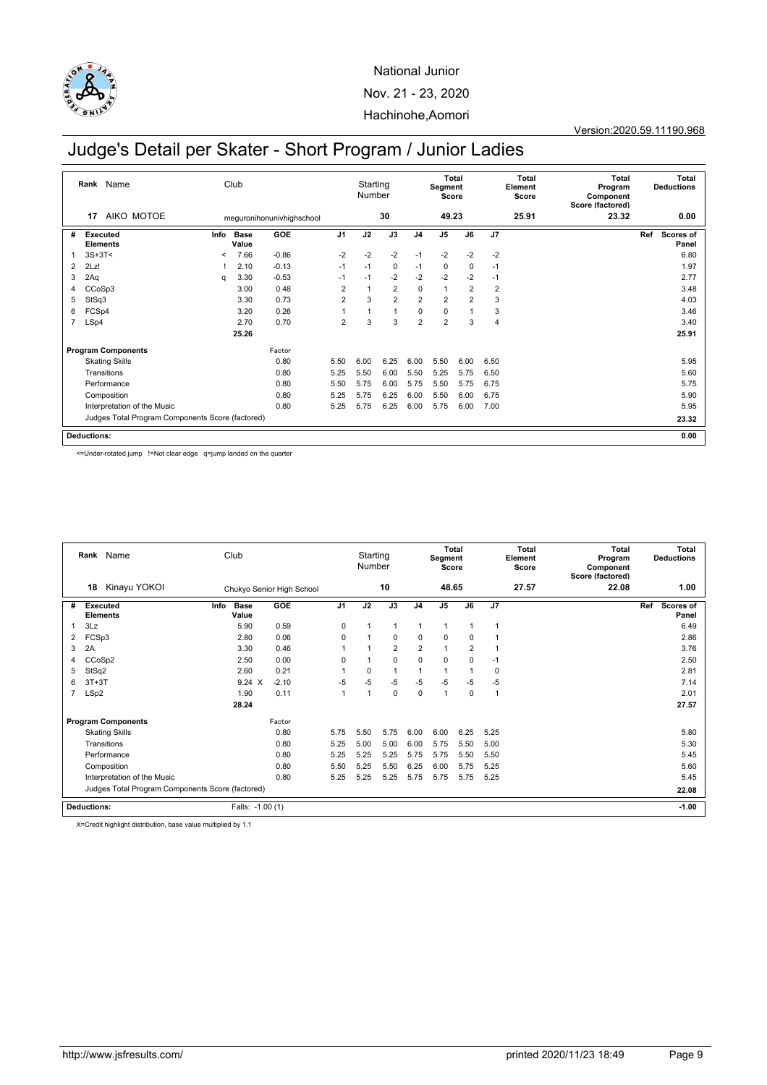

Version:2020.59.11190.968

# Judge's Detail per Skater - Short Program / Junior Ladies

|                | Name<br>Rank<br>AIKO MOTOE<br>17                 |         | Club          |                           |                | Starting<br>Number |                |                | <b>Total</b><br>Segment<br>Score |                |                | Total<br>Element<br>Score | <b>Total</b><br>Program<br>Component<br>Score (factored) | <b>Total</b><br><b>Deductions</b> |
|----------------|--------------------------------------------------|---------|---------------|---------------------------|----------------|--------------------|----------------|----------------|----------------------------------|----------------|----------------|---------------------------|----------------------------------------------------------|-----------------------------------|
|                |                                                  |         |               | meguronihonunivhighschool |                |                    | 30             |                | 49.23                            |                |                | 25.91                     | 23.32                                                    | 0.00                              |
| #              | <b>Executed</b><br><b>Elements</b>               | Info    | Base<br>Value | GOE                       | J <sub>1</sub> | J2                 | J3             | J <sub>4</sub> | J <sub>5</sub>                   | J6             | J7             |                           |                                                          | Ref<br>Scores of<br>Panel         |
|                | $3S+3T<$                                         | $\,<\,$ | 7.66          | $-0.86$                   | $-2$           | $-2$               | $-2$           | $-1$           | $-2$                             | $-2$           | $-2$           |                           |                                                          | 6.80                              |
| $\overline{2}$ | 2Lz!                                             |         | 2.10          | $-0.13$                   | $-1$           | $-1$               | $\mathbf 0$    | $-1$           | $\mathbf 0$                      | 0              | $-1$           |                           |                                                          | 1.97                              |
| 3              | 2Aq                                              | a       | 3.30          | $-0.53$                   | $-1$           | $-1$               | $-2$           | $-2$           | $-2$                             | $-2$           | $-1$           |                           |                                                          | 2.77                              |
| 4              | CCoSp3                                           |         | 3.00          | 0.48                      | $\overline{2}$ | 1                  | $\overline{2}$ | $\mathbf 0$    | $\overline{1}$                   | $\overline{2}$ | $\overline{2}$ |                           |                                                          | 3.48                              |
| 5              | StSq3                                            |         | 3.30          | 0.73                      | $\overline{2}$ | 3                  | $\overline{2}$ | $\overline{2}$ | $\overline{2}$                   | $\overline{2}$ | 3              |                           |                                                          | 4.03                              |
| 6              | FCSp4                                            |         | 3.20          | 0.26                      |                | 1                  | $\mathbf{1}$   | 0              | $\mathbf 0$                      |                | 3              |                           |                                                          | 3.46                              |
| $\overline{7}$ | LSp4                                             |         | 2.70          | 0.70                      | $\overline{2}$ | 3                  | 3              | $\overline{2}$ | $\overline{2}$                   | 3              | $\overline{4}$ |                           |                                                          | 3.40                              |
|                |                                                  |         | 25.26         |                           |                |                    |                |                |                                  |                |                |                           |                                                          | 25.91                             |
|                | <b>Program Components</b>                        |         |               | Factor                    |                |                    |                |                |                                  |                |                |                           |                                                          |                                   |
|                | <b>Skating Skills</b>                            |         |               | 0.80                      | 5.50           | 6.00               | 6.25           | 6.00           | 5.50                             | 6.00           | 6.50           |                           |                                                          | 5.95                              |
|                | Transitions                                      |         |               | 0.80                      | 5.25           | 5.50               | 6.00           | 5.50           | 5.25                             | 5.75           | 6.50           |                           |                                                          | 5.60                              |
|                | Performance                                      |         |               | 0.80                      | 5.50           | 5.75               | 6.00           | 5.75           | 5.50                             | 5.75           | 6.75           |                           |                                                          | 5.75                              |
|                | Composition                                      |         |               | 0.80                      | 5.25           | 5.75               | 6.25           | 6.00           | 5.50                             | 6.00           | 6.75           |                           |                                                          | 5.90                              |
|                | Interpretation of the Music                      | 0.80    | 5.25          | 5.75                      | 6.25           | 6.00               | 5.75           | 6.00           | 7.00                             |                |                | 5.95                      |                                                          |                                   |
|                | Judges Total Program Components Score (factored) |         |               |                           |                |                    |                |                |                                  |                |                | 23.32                     |                                                          |                                   |
|                | <b>Deductions:</b>                               |         |               |                           |                |                    |                |                |                                  |                |                |                           |                                                          | 0.00                              |

<=Under-rotated jump !=Not clear edge q=jump landed on the quarter

|   | Club<br>Rank Name<br>Kinayu YOKOI<br>18          |                      |                           |                | Starting<br>Number |                |                | Total<br>Segment<br>Score |                |                | Total<br>Element<br>Score | Total<br>Program<br>Component<br>Score (factored) | Total<br><b>Deductions</b> |
|---|--------------------------------------------------|----------------------|---------------------------|----------------|--------------------|----------------|----------------|---------------------------|----------------|----------------|---------------------------|---------------------------------------------------|----------------------------|
|   |                                                  |                      | Chukyo Senior High School |                |                    | 10             |                | 48.65                     |                |                | 27.57                     | 22.08                                             | 1.00                       |
| # | <b>Executed</b><br>Info<br><b>Elements</b>       | <b>Base</b><br>Value | GOE                       | J <sub>1</sub> | J2                 | J3             | J <sub>4</sub> | J <sub>5</sub>            | J6             | J <sub>7</sub> |                           |                                                   | Ref<br>Scores of<br>Panel  |
|   | 3Lz                                              | 5.90                 | 0.59                      | $\Omega$       |                    | -1             | $\mathbf{1}$   | 1                         | 1              | 1              |                           |                                                   | 6.49                       |
| 2 | FCSp3                                            | 2.80                 | 0.06                      | $\mathbf 0$    |                    | $\mathbf 0$    | $\Omega$       | 0                         | 0              | 1              |                           |                                                   | 2.86                       |
| 3 | 2A                                               | 3.30                 | 0.46                      |                |                    | 2              | $\overline{2}$ | 1                         | $\overline{2}$ | 1              |                           |                                                   | 3.76                       |
| 4 | CCoSp2                                           | 2.50                 | 0.00                      | $\Omega$       |                    | $\Omega$       | $\Omega$       | $\Omega$                  | $\Omega$       | $-1$           |                           |                                                   | 2.50                       |
| 5 | StSq2                                            | 2.60                 | 0.21                      |                | $\Omega$           | $\overline{1}$ | $\overline{1}$ | $\overline{1}$            |                | $\mathbf 0$    |                           |                                                   | 2.81                       |
| 6 | $3T+3T$                                          | $9.24 \times$        | $-2.10$                   | $-5$           | $-5$               | $-5$           | $-5$           | $-5$                      | $-5$           | $-5$           |                           |                                                   | 7.14                       |
|   | LSp2                                             | 1.90                 | 0.11                      | $\overline{1}$ |                    | $\mathbf 0$    | $\mathbf 0$    | $\overline{1}$            | 0              | 1              |                           |                                                   | 2.01                       |
|   |                                                  | 28.24                |                           |                |                    |                |                |                           |                |                |                           |                                                   | 27.57                      |
|   | <b>Program Components</b>                        |                      | Factor                    |                |                    |                |                |                           |                |                |                           |                                                   |                            |
|   | <b>Skating Skills</b>                            |                      | 0.80                      | 5.75           | 5.50               | 5.75           | 6.00           | 6.00                      | 6.25           | 5.25           |                           |                                                   | 5.80                       |
|   | Transitions                                      |                      | 0.80                      | 5.25           | 5.00               | 5.00           | 6.00           | 5.75                      | 5.50           | 5.00           |                           |                                                   | 5.30                       |
|   | Performance                                      |                      | 0.80                      | 5.25           | 5.25               | 5.25           | 5.75           | 5.75                      | 5.50           | 5.50           |                           |                                                   | 5.45                       |
|   | Composition                                      |                      | 0.80                      | 5.50           | 5.25               | 5.50           | 6.25           | 6.00                      | 5.75           | 5.25           |                           |                                                   | 5.60                       |
|   | Interpretation of the Music                      |                      | 0.80                      | 5.25           | 5.25               | 5.25           | 5.75           | 5.75                      | 5.75           | 5.25           |                           |                                                   | 5.45                       |
|   | Judges Total Program Components Score (factored) |                      |                           |                |                    |                |                |                           |                |                |                           |                                                   | 22.08                      |
|   | <b>Deductions:</b>                               | Falls: -1.00 (1)     |                           |                |                    |                |                |                           |                |                |                           |                                                   | $-1.00$                    |

X=Credit highlight distribution, base value multiplied by 1.1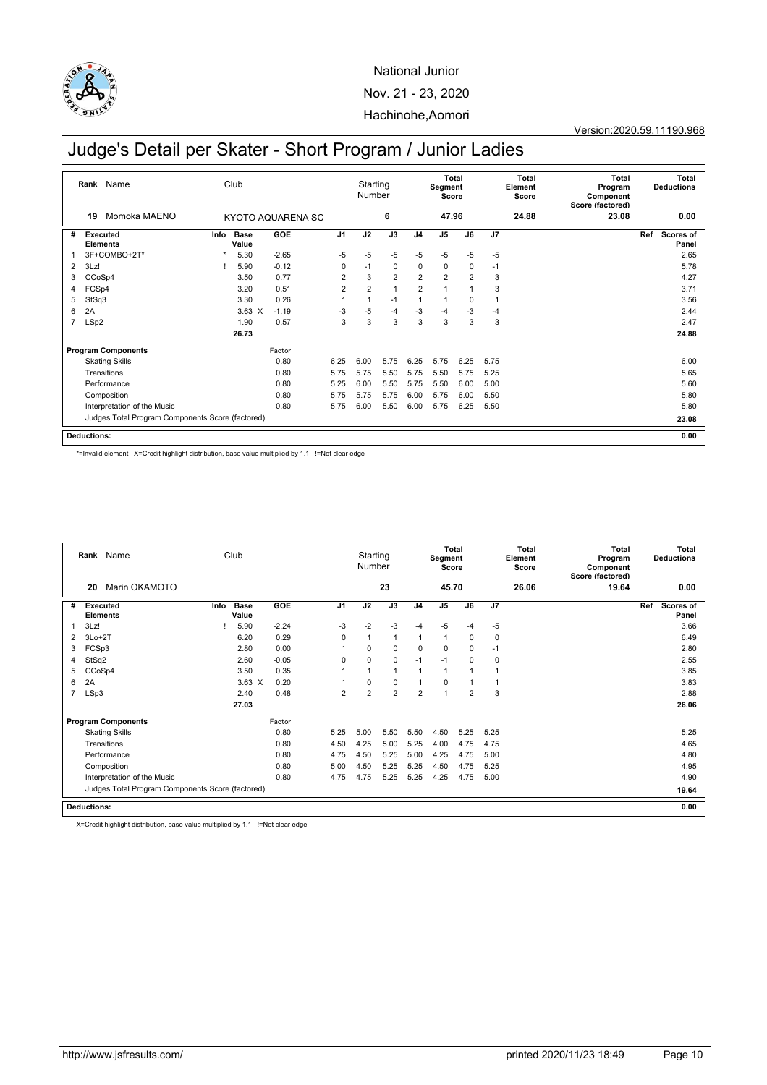

Version:2020.59.11190.968

# Judge's Detail per Skater - Short Program / Junior Ladies

|                | Name<br>Club<br>Rank<br>Momoka MAENO<br>19<br>KYOTO AQUARENA SC |         |               |            |                | Starting<br>Number |                |                | Segment<br>Score | Total |                | Total<br>Element<br>Score | Total<br>Program<br>Component<br>Score (factored) |     | Total<br><b>Deductions</b> |
|----------------|-----------------------------------------------------------------|---------|---------------|------------|----------------|--------------------|----------------|----------------|------------------|-------|----------------|---------------------------|---------------------------------------------------|-----|----------------------------|
|                |                                                                 |         |               |            |                |                    | 6              |                | 47.96            |       |                | 24.88                     | 23.08                                             |     | 0.00                       |
| #              | Executed<br><b>Elements</b>                                     | Info    | Base<br>Value | <b>GOE</b> | J <sub>1</sub> | J2                 | J3             | J <sub>4</sub> | J <sub>5</sub>   | J6    | J <sub>7</sub> |                           |                                                   | Ref | Scores of<br>Panel         |
|                | 3F+COMBO+2T*                                                    | $\star$ | 5.30          | $-2.65$    | $-5$           | $-5$               | $-5$           | $-5$           | $-5$             | $-5$  | $-5$           |                           |                                                   |     | 2.65                       |
| 2              | 3Lz!                                                            |         | 5.90          | $-0.12$    | 0              | $-1$               | $\mathbf 0$    | 0              | $\mathbf 0$      | 0     | $-1$           |                           |                                                   |     | 5.78                       |
| 3              | CCoSp4                                                          |         | 3.50          | 0.77       | $\overline{2}$ | 3                  | $\overline{2}$ | $\overline{2}$ | $\overline{2}$   | 2     | 3              |                           |                                                   |     | 4.27                       |
| 4              | FCSp4                                                           |         | 3.20          | 0.51       | $\overline{2}$ | $\overline{2}$     | $\mathbf{1}$   | $\overline{2}$ | $\overline{1}$   |       | 3              |                           |                                                   |     | 3.71                       |
| 5              | StSq3                                                           |         | 3.30          | 0.26       |                |                    | $-1$           | 1              | 1                | 0     |                |                           |                                                   |     | 3.56                       |
| 6              | 2A                                                              |         | $3.63 \times$ | $-1.19$    | $-3$           | $-5$               | $-4$           | $-3$           | $-4$             | $-3$  | $-4$           |                           |                                                   |     | 2.44                       |
| $\overline{7}$ | LSp2                                                            |         | 1.90          | 0.57       | 3              | 3                  | 3              | 3              | 3                | 3     | 3              |                           |                                                   |     | 2.47                       |
|                |                                                                 |         | 26.73         |            |                |                    |                |                |                  |       |                |                           |                                                   |     | 24.88                      |
|                | <b>Program Components</b>                                       |         |               | Factor     |                |                    |                |                |                  |       |                |                           |                                                   |     |                            |
|                | <b>Skating Skills</b>                                           |         |               | 0.80       | 6.25           | 6.00               | 5.75           | 6.25           | 5.75             | 6.25  | 5.75           |                           |                                                   |     | 6.00                       |
|                | Transitions                                                     |         |               | 0.80       | 5.75           | 5.75               | 5.50           | 5.75           | 5.50             | 5.75  | 5.25           |                           |                                                   |     | 5.65                       |
|                | Performance                                                     |         |               | 0.80       | 5.25           | 6.00               | 5.50           | 5.75           | 5.50             | 6.00  | 5.00           |                           |                                                   |     | 5.60                       |
|                | Composition                                                     |         |               | 0.80       | 5.75           | 5.75               | 5.75           | 6.00           | 5.75             | 6.00  | 5.50           |                           |                                                   |     | 5.80                       |
|                | Interpretation of the Music                                     |         |               | 0.80       | 5.75           | 6.00               | 5.50           | 6.00           | 5.75             | 6.25  | 5.50           |                           |                                                   |     | 5.80                       |
|                | Judges Total Program Components Score (factored)                |         |               |            |                |                    |                |                |                  |       |                |                           | 23.08                                             |     |                            |
|                | <b>Deductions:</b>                                              |         |               |            |                |                    |                |                |                  |       |                |                           |                                                   |     | 0.00                       |

\*=Invalid element X=Credit highlight distribution, base value multiplied by 1.1 !=Not clear edge

|   | Club<br>Rank Name<br>Marin OKAMOTO<br>20         |      |                      |         |                | Starting<br>Number |                |                | Total<br>Segment<br>Score |                |              | Total<br>Element<br>Score | <b>Total</b><br>Program<br>Component<br>Score (factored) |     | Total<br><b>Deductions</b> |
|---|--------------------------------------------------|------|----------------------|---------|----------------|--------------------|----------------|----------------|---------------------------|----------------|--------------|---------------------------|----------------------------------------------------------|-----|----------------------------|
|   |                                                  |      |                      |         |                |                    | 23             |                | 45.70                     |                |              | 26.06                     | 19.64                                                    |     | 0.00                       |
| # | <b>Executed</b><br><b>Elements</b>               | Info | <b>Base</b><br>Value | GOE     | J <sub>1</sub> | J2                 | J3             | J <sub>4</sub> | J <sub>5</sub>            | J6             | J7           |                           |                                                          | Ref | <b>Scores of</b><br>Panel  |
|   | 3Lz!                                             |      | 5.90                 | $-2.24$ | $-3$           | $-2$               | $-3$           | $-4$           | $-5$                      | $-4$           | $-5$         |                           |                                                          |     | 3.66                       |
| 2 | $3Lo+2T$                                         |      | 6.20                 | 0.29    | $\mathbf 0$    | $\mathbf{1}$       | $\overline{1}$ | 1              | $\mathbf{1}$              | $\mathbf 0$    | $\mathbf 0$  |                           |                                                          |     | 6.49                       |
| 3 | FCSp3                                            |      | 2.80                 | 0.00    |                | $\mathbf 0$        | $\mathbf 0$    | $\mathbf 0$    | $\mathbf 0$               | 0              | $-1$         |                           |                                                          |     | 2.80                       |
| 4 | StSq2                                            |      | 2.60                 | $-0.05$ | $\Omega$       | $\mathbf 0$        | $\mathbf 0$    | $-1$           | $-1$                      | $\Omega$       | $\mathbf 0$  |                           |                                                          |     | 2.55                       |
| 5 | CCoSp4                                           |      | 3.50                 | 0.35    |                | $\overline{1}$     | $\overline{1}$ |                | $\mathbf{1}$              |                | $\mathbf{1}$ |                           |                                                          |     | 3.85                       |
| 6 | 2A                                               |      | $3.63 \times$        | 0.20    |                | $\mathbf 0$        | $\mathbf 0$    | 1              | $\mathbf 0$               | $\overline{1}$ | $\mathbf{1}$ |                           |                                                          |     | 3.83                       |
| 7 | LSp3                                             |      | 2.40                 | 0.48    | $\overline{2}$ | $\overline{2}$     | $\overline{2}$ | $\overline{2}$ | $\mathbf{1}$              | $\overline{2}$ | 3            |                           |                                                          |     | 2.88                       |
|   |                                                  |      | 27.03                |         |                |                    |                |                |                           |                |              |                           |                                                          |     | 26.06                      |
|   | <b>Program Components</b>                        |      |                      | Factor  |                |                    |                |                |                           |                |              |                           |                                                          |     |                            |
|   | <b>Skating Skills</b>                            |      |                      | 0.80    | 5.25           | 5.00               | 5.50           | 5.50           | 4.50                      | 5.25           | 5.25         |                           |                                                          |     | 5.25                       |
|   | Transitions                                      |      |                      | 0.80    | 4.50           | 4.25               | 5.00           | 5.25           | 4.00                      | 4.75           | 4.75         |                           |                                                          |     | 4.65                       |
|   | Performance                                      |      |                      | 0.80    | 4.75           | 4.50               | 5.25           | 5.00           | 4.25                      | 4.75           | 5.00         |                           |                                                          |     | 4.80                       |
|   | Composition                                      |      |                      | 0.80    | 5.00           | 4.50               | 5.25           | 5.25           | 4.50                      | 4.75           | 5.25         |                           |                                                          |     | 4.95                       |
|   | Interpretation of the Music                      |      |                      | 0.80    | 4.75           | 4.75               | 5.25           | 5.25           | 4.25                      | 4.75           | 5.00         |                           |                                                          |     | 4.90                       |
|   | Judges Total Program Components Score (factored) |      |                      |         |                |                    |                |                |                           |                |              |                           |                                                          |     | 19.64                      |
|   | <b>Deductions:</b>                               |      |                      |         |                |                    |                |                |                           |                |              |                           |                                                          |     | 0.00                       |

X=Credit highlight distribution, base value multiplied by 1.1 !=Not clear edge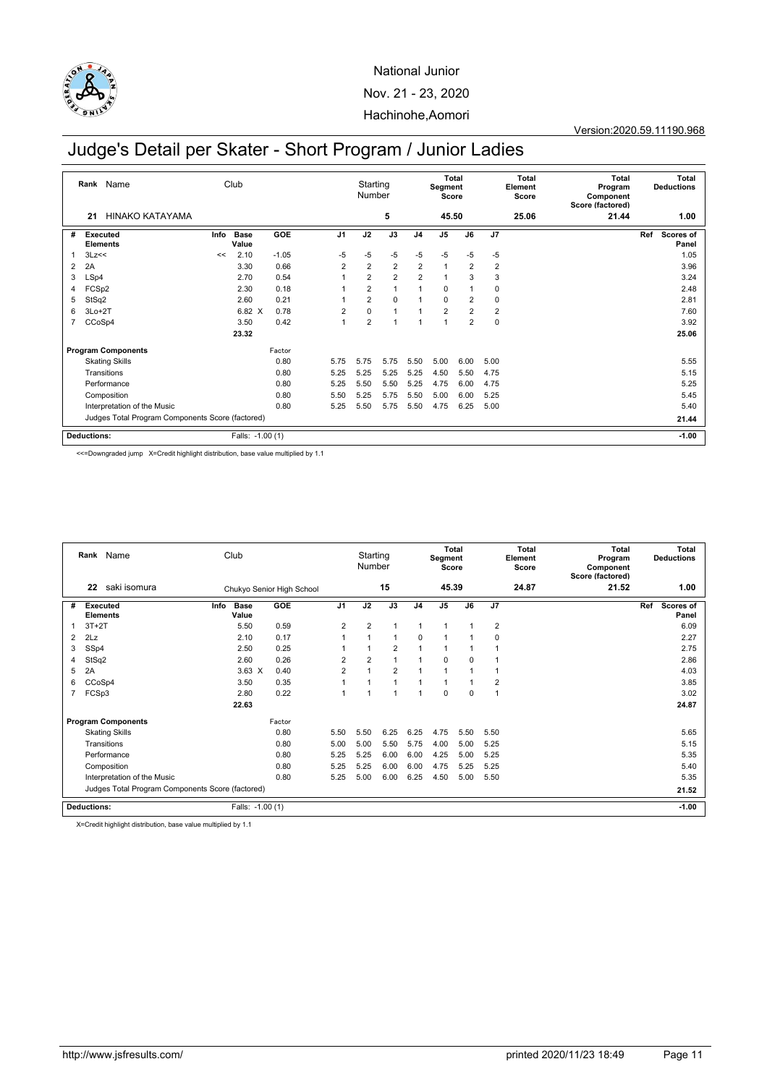

Version:2020.59.11190.968

# Judge's Detail per Skater - Short Program / Junior Ladies

|                | Name<br>Rank<br>HINAKO KATAYAMA<br>21            |      | Club             |         |                | Starting<br>Number |                |                | <b>Total</b><br>Segment<br>Score |                |                | Total<br>Element<br>Score | <b>Total</b><br>Program<br>Component<br>Score (factored) |     | <b>Total</b><br><b>Deductions</b> |
|----------------|--------------------------------------------------|------|------------------|---------|----------------|--------------------|----------------|----------------|----------------------------------|----------------|----------------|---------------------------|----------------------------------------------------------|-----|-----------------------------------|
|                |                                                  |      |                  |         |                |                    | 5              |                | 45.50                            |                |                | 25.06                     | 21.44                                                    |     | 1.00                              |
| #              | Executed<br><b>Elements</b>                      | Info | Base<br>Value    | GOE     | J <sub>1</sub> | J2                 | J3             | J <sub>4</sub> | J <sub>5</sub>                   | J6             | J7             |                           |                                                          | Ref | <b>Scores of</b><br>Panel         |
|                | 3Lz<<                                            | <<   | 2.10             | $-1.05$ | $-5$           | $-5$               | $-5$           | $-5$           | $-5$                             | $-5$           | $-5$           |                           |                                                          |     | 1.05                              |
| 2              | 2A                                               |      | 3.30             | 0.66    | 2              | $\overline{2}$     | 2              | $\overline{2}$ | 1                                | $\overline{2}$ | $\overline{2}$ |                           |                                                          |     | 3.96                              |
| 3              | LSp4                                             |      | 2.70             | 0.54    |                | $\overline{2}$     | $\overline{2}$ | $\overline{2}$ | 1                                | 3              | 3              |                           |                                                          |     | 3.24                              |
| 4              | FCSp2                                            |      | 2.30             | 0.18    |                | $\overline{2}$     | $\mathbf{1}$   | 1              | $\mathbf 0$                      |                | $\mathbf 0$    |                           |                                                          |     | 2.48                              |
| 5              | StSq2                                            |      | 2.60             | 0.21    |                | $\overline{2}$     | $\mathbf 0$    | 1              | $\mathbf 0$                      | $\overline{2}$ | 0              |                           |                                                          |     | 2.81                              |
| 6              | $3Lo+2T$                                         |      | 6.82 X           | 0.78    | $\overline{2}$ | 0                  | $\mathbf{1}$   | 1              | $\overline{2}$                   | $\overline{2}$ | 2              |                           |                                                          |     | 7.60                              |
| $\overline{7}$ | CCoSp4                                           |      | 3.50             | 0.42    | $\overline{1}$ | $\overline{2}$     | $\overline{1}$ | 1              | 1                                | $\overline{2}$ | 0              |                           |                                                          |     | 3.92                              |
|                |                                                  |      | 23.32            |         |                |                    |                |                |                                  |                |                |                           |                                                          |     | 25.06                             |
|                | <b>Program Components</b>                        |      |                  | Factor  |                |                    |                |                |                                  |                |                |                           |                                                          |     |                                   |
|                | <b>Skating Skills</b>                            |      |                  | 0.80    | 5.75           | 5.75               | 5.75           | 5.50           | 5.00                             | 6.00           | 5.00           |                           |                                                          |     | 5.55                              |
|                | Transitions                                      |      |                  | 0.80    | 5.25           | 5.25               | 5.25           | 5.25           | 4.50                             | 5.50           | 4.75           |                           |                                                          |     | 5.15                              |
|                | Performance                                      |      |                  | 0.80    | 5.25           | 5.50               | 5.50           | 5.25           | 4.75                             | 6.00           | 4.75           |                           |                                                          |     | 5.25                              |
|                | Composition                                      |      |                  | 0.80    | 5.50           | 5.25               | 5.75           | 5.50           | 5.00                             | 6.00           | 5.25           |                           |                                                          |     | 5.45                              |
|                | Interpretation of the Music                      |      |                  | 0.80    | 5.25           | 5.50               | 5.75           | 5.50           | 4.75                             | 6.25           | 5.00           |                           |                                                          |     | 5.40                              |
|                | Judges Total Program Components Score (factored) |      |                  |         |                |                    |                |                |                                  |                |                |                           |                                                          |     | 21.44                             |
|                | <b>Deductions:</b>                               |      | Falls: -1.00 (1) |         |                |                    |                |                |                                  |                |                |                           |                                                          |     | $-1.00$                           |

<<=Downgraded jump X=Credit highlight distribution, base value multiplied by 1.1

|   | Rank Name                          |                                                  |      | Club                 |                           |                | Starting<br>Number |                |                | Total<br>Segment<br>Score |             |                | Total<br>Element<br>Score | Total<br>Program<br>Component<br>Score (factored) |     | Total<br><b>Deductions</b> |
|---|------------------------------------|--------------------------------------------------|------|----------------------|---------------------------|----------------|--------------------|----------------|----------------|---------------------------|-------------|----------------|---------------------------|---------------------------------------------------|-----|----------------------------|
|   | 22                                 | saki isomura                                     |      |                      | Chukyo Senior High School |                |                    | 15             |                | 45.39                     |             |                | 24.87                     | 21.52                                             |     | 1.00                       |
| # | <b>Executed</b><br><b>Elements</b> |                                                  | Info | <b>Base</b><br>Value | GOE                       | J <sub>1</sub> | J2                 | J3             | J <sub>4</sub> | J <sub>5</sub>            | J6          | J7             |                           |                                                   | Ref | <b>Scores of</b><br>Panel  |
|   | $3T+2T$                            |                                                  |      | 5.50                 | 0.59                      | 2              | $\overline{2}$     | -1             | $\mathbf{1}$   | 1                         |             | $\overline{2}$ |                           |                                                   |     | 6.09                       |
| 2 | 2Lz                                |                                                  |      | 2.10                 | 0.17                      |                |                    | 1              | $\Omega$       | 1                         |             | $\mathbf 0$    |                           |                                                   |     | 2.27                       |
| 3 | SSp4                               |                                                  |      | 2.50                 | 0.25                      |                |                    | 2              | 1              | $\overline{1}$            |             | $\mathbf{1}$   |                           |                                                   |     | 2.75                       |
| 4 | StSq2                              |                                                  |      | 2.60                 | 0.26                      | $\overline{2}$ | $\overline{2}$     | -4             | $\overline{ }$ | $\Omega$                  | $\Omega$    | $\overline{1}$ |                           |                                                   |     | 2.86                       |
| 5 | 2A                                 |                                                  |      | $3.63 \times$        | 0.40                      | $\overline{2}$ |                    | $\overline{2}$ |                | 1                         |             | $\mathbf{1}$   |                           |                                                   |     | 4.03                       |
| 6 | CCoSp4                             |                                                  |      | 3.50                 | 0.35                      |                |                    | и              |                | 1                         |             | $\overline{2}$ |                           |                                                   |     | 3.85                       |
|   | FCSp3                              |                                                  |      | 2.80                 | 0.22                      |                |                    | 4              |                | $\Omega$                  | $\mathbf 0$ | 1              |                           |                                                   |     | 3.02                       |
|   |                                    |                                                  |      | 22.63                |                           |                |                    |                |                |                           |             |                |                           |                                                   |     | 24.87                      |
|   |                                    | <b>Program Components</b>                        |      |                      | Factor                    |                |                    |                |                |                           |             |                |                           |                                                   |     |                            |
|   |                                    | <b>Skating Skills</b>                            |      |                      | 0.80                      | 5.50           | 5.50               | 6.25           | 6.25           | 4.75                      | 5.50        | 5.50           |                           |                                                   |     | 5.65                       |
|   | Transitions                        |                                                  |      |                      | 0.80                      | 5.00           | 5.00               | 5.50           | 5.75           | 4.00                      | 5.00        | 5.25           |                           |                                                   |     | 5.15                       |
|   | Performance                        |                                                  |      |                      | 0.80                      | 5.25           | 5.25               | 6.00           | 6.00           | 4.25                      | 5.00        | 5.25           |                           |                                                   |     | 5.35                       |
|   | Composition                        |                                                  |      |                      | 0.80                      | 5.25           | 5.25               | 6.00           | 6.00           | 4.75                      | 5.25        | 5.25           |                           |                                                   |     | 5.40                       |
|   |                                    | Interpretation of the Music                      |      |                      | 0.80                      | 5.25           | 5.00               | 6.00           | 6.25           | 4.50                      | 5.00        | 5.50           |                           |                                                   |     | 5.35                       |
|   |                                    | Judges Total Program Components Score (factored) |      |                      |                           |                |                    |                |                |                           |             |                |                           |                                                   |     | 21.52                      |
|   | Deductions:                        |                                                  |      | Falls: -1.00 (1)     |                           |                |                    |                |                |                           |             |                |                           |                                                   |     | $-1.00$                    |

X=Credit highlight distribution, base value multiplied by 1.1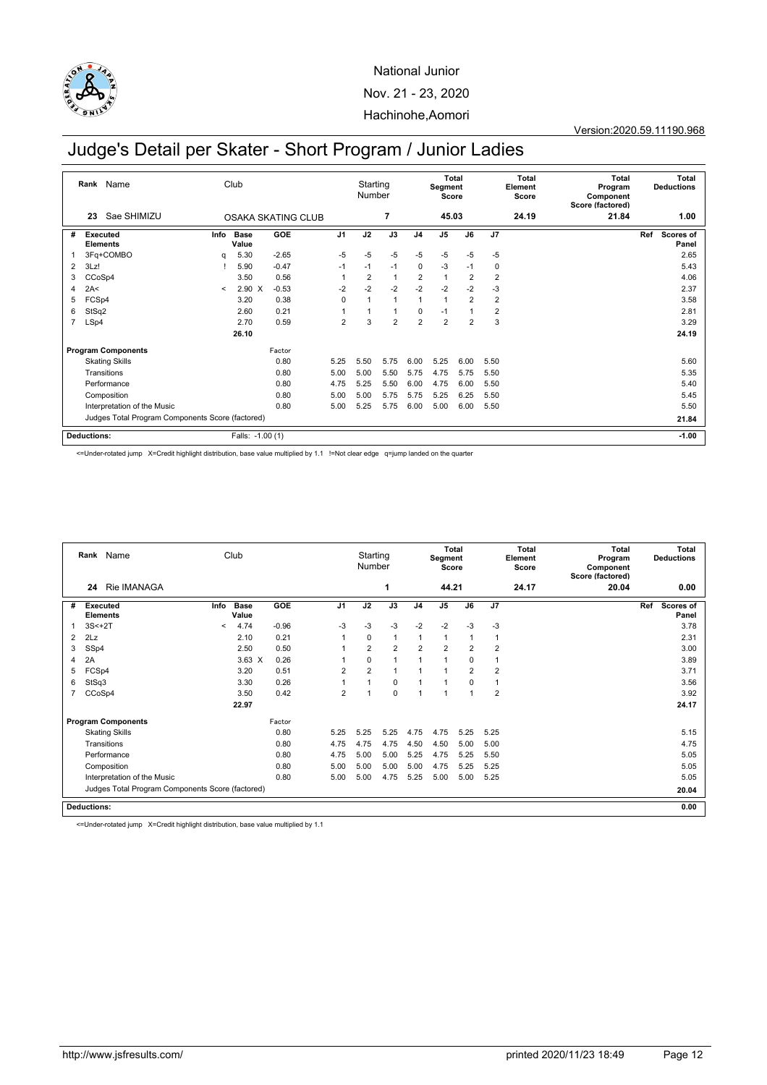

Version:2020.59.11190.968

# Judge's Detail per Skater - Short Program / Junior Ladies

|                | Name<br>Rank<br>Sae SHIMIZU<br>23                |         | Club             |                    |                | Starting<br>Number |                |                | Total<br>Segment<br>Score |                |                         | Total<br>Element<br>Score | Total<br>Program<br>Component<br>Score (factored) |     | Total<br><b>Deductions</b> |
|----------------|--------------------------------------------------|---------|------------------|--------------------|----------------|--------------------|----------------|----------------|---------------------------|----------------|-------------------------|---------------------------|---------------------------------------------------|-----|----------------------------|
|                |                                                  |         |                  | OSAKA SKATING CLUB |                |                    | 7              |                | 45.03                     |                |                         | 24.19                     | 21.84                                             |     | 1.00                       |
| #              | Executed<br><b>Elements</b>                      | Info    | Base<br>Value    | GOE                | J <sub>1</sub> | J2                 | J3             | J <sub>4</sub> | J <sub>5</sub>            | J6             | J <sub>7</sub>          |                           |                                                   | Ref | <b>Scores of</b><br>Panel  |
|                | 3Fq+COMBO                                        | q       | 5.30             | $-2.65$            | $-5$           | $-5$               | $-5$           | $-5$           | $-5$                      | $-5$           | $-5$                    |                           |                                                   |     | 2.65                       |
| 2              | 3Lz!                                             |         | 5.90             | $-0.47$            | $-1$           | $-1$               | $-1$           | $\mathbf 0$    | $-3$                      | $-1$           | 0                       |                           |                                                   |     | 5.43                       |
| 3              | CCoSp4                                           |         | 3.50             | 0.56               | 1              | $\overline{2}$     | $\mathbf{1}$   | $\overline{2}$ | $\overline{1}$            | $\overline{2}$ | $\overline{2}$          |                           |                                                   |     | 4.06                       |
| 4              | 2A<                                              | $\prec$ | $2.90 \text{ X}$ | $-0.53$            | $-2$           | $-2$               | $-2$           | $-2$           | $-2$                      | $-2$           | $-3$                    |                           |                                                   |     | 2.37                       |
| 5              | FCSp4                                            |         | 3.20             | 0.38               | $\Omega$       | 1                  | $\mathbf{1}$   | 1              | $\overline{1}$            | $\overline{2}$ | $\overline{\mathbf{c}}$ |                           |                                                   |     | 3.58                       |
| 6              | StSq2                                            |         | 2.60             | 0.21               |                |                    | $\mathbf{1}$   | $\Omega$       | $-1$                      |                | $\overline{2}$          |                           |                                                   |     | 2.81                       |
| $\overline{7}$ | LSp4                                             |         | 2.70             | 0.59               | $\overline{2}$ | 3                  | $\overline{2}$ | $\overline{2}$ | $\overline{2}$            | $\overline{2}$ | 3                       |                           |                                                   |     | 3.29                       |
|                |                                                  |         | 26.10            |                    |                |                    |                |                |                           |                |                         |                           |                                                   |     | 24.19                      |
|                | <b>Program Components</b>                        |         |                  | Factor             |                |                    |                |                |                           |                |                         |                           |                                                   |     |                            |
|                | <b>Skating Skills</b>                            |         |                  | 0.80               | 5.25           | 5.50               | 5.75           | 6.00           | 5.25                      | 6.00           | 5.50                    |                           |                                                   |     | 5.60                       |
|                | Transitions                                      |         |                  | 0.80               | 5.00           | 5.00               | 5.50           | 5.75           | 4.75                      | 5.75           | 5.50                    |                           |                                                   |     | 5.35                       |
|                | Performance                                      |         |                  | 0.80               | 4.75           | 5.25               | 5.50           | 6.00           | 4.75                      | 6.00           | 5.50                    |                           |                                                   |     | 5.40                       |
|                | Composition                                      |         |                  | 0.80               | 5.00           | 5.00               | 5.75           | 5.75           | 5.25                      | 6.25           | 5.50                    |                           |                                                   |     | 5.45                       |
|                | Interpretation of the Music                      |         |                  | 0.80               | 5.00           | 5.25               | 5.75           | 6.00           | 5.00                      | 6.00           | 5.50                    |                           |                                                   |     | 5.50                       |
|                | Judges Total Program Components Score (factored) |         |                  |                    |                |                    |                |                |                           |                |                         |                           |                                                   |     | 21.84                      |
|                | Deductions:                                      |         | Falls: -1.00 (1) |                    |                |                    |                |                |                           |                |                         |                           |                                                   |     | $-1.00$                    |

<=Under-rotated jump X=Credit highlight distribution, base value multiplied by 1.1 !=Not clear edge q=jump landed on the quarter

|                | Rank Name<br>Rie IMANAGA<br>24                   |                          | Club                 |            |                | Starting<br>Number |                |                | <b>Total</b><br>Segment<br>Score |                |                | Total<br>Element<br>Score | Total<br>Program<br>Component<br>Score (factored) |     | Total<br><b>Deductions</b> |
|----------------|--------------------------------------------------|--------------------------|----------------------|------------|----------------|--------------------|----------------|----------------|----------------------------------|----------------|----------------|---------------------------|---------------------------------------------------|-----|----------------------------|
|                |                                                  |                          |                      |            |                |                    | 1              |                | 44.21                            |                |                | 24.17                     | 20.04                                             |     | 0.00                       |
| #              | Executed<br><b>Elements</b>                      | Info                     | <b>Base</b><br>Value | <b>GOE</b> | J <sub>1</sub> | J2                 | J3             | J <sub>4</sub> | J <sub>5</sub>                   | J6             | J7             |                           |                                                   | Ref | Scores of<br>Panel         |
|                | $3S<+2T$                                         | $\overline{\phantom{0}}$ | 4.74                 | $-0.96$    | $-3$           | $-3$               | $-3$           | $-2$           | $-2$                             | $-3$           | $-3$           |                           |                                                   |     | 3.78                       |
| $\overline{2}$ | 2Lz                                              |                          | 2.10                 | 0.21       | 1              | $\mathbf 0$        | $\overline{1}$ | $\overline{1}$ | $\mathbf{1}$                     | 1              | $\mathbf{1}$   |                           |                                                   |     | 2.31                       |
| 3              | SSp4                                             |                          | 2.50                 | 0.50       |                | $\overline{2}$     | $\overline{2}$ | $\overline{2}$ | $\overline{2}$                   | $\overline{2}$ | $\overline{2}$ |                           |                                                   |     | 3.00                       |
| 4              | 2A                                               |                          | $3.63 \times$        | 0.26       |                | $\mathbf 0$        | $\overline{1}$ | 1              | $\mathbf{1}$                     | 0              | 1              |                           |                                                   |     | 3.89                       |
| 5              | FCSp4                                            |                          | 3.20                 | 0.51       | $\overline{2}$ | $\overline{2}$     | $\overline{1}$ |                | $\mathbf{1}$                     | $\overline{2}$ | $\overline{2}$ |                           |                                                   |     | 3.71                       |
| 6              | StSq3                                            |                          | 3.30                 | 0.26       |                | $\mathbf{1}$       | $\mathbf 0$    | 1              | $\mathbf{1}$                     | 0              | 1              |                           |                                                   |     | 3.56                       |
|                | CCoSp4                                           |                          | 3.50                 | 0.42       | $\overline{2}$ | $\mathbf{1}$       | $\mathbf 0$    | $\overline{ }$ | $\mathbf{1}$                     | 1              | $\overline{2}$ |                           |                                                   |     | 3.92                       |
|                |                                                  |                          | 22.97                |            |                |                    |                |                |                                  |                |                |                           |                                                   |     | 24.17                      |
|                | <b>Program Components</b>                        |                          |                      | Factor     |                |                    |                |                |                                  |                |                |                           |                                                   |     |                            |
|                | <b>Skating Skills</b>                            |                          |                      | 0.80       | 5.25           | 5.25               | 5.25           | 4.75           | 4.75                             | 5.25           | 5.25           |                           |                                                   |     | 5.15                       |
|                | Transitions                                      |                          |                      | 0.80       | 4.75           | 4.75               | 4.75           | 4.50           | 4.50                             | 5.00           | 5.00           |                           |                                                   |     | 4.75                       |
|                | Performance                                      |                          |                      | 0.80       | 4.75           | 5.00               | 5.00           | 5.25           | 4.75                             | 5.25           | 5.50           |                           |                                                   |     | 5.05                       |
|                | Composition                                      |                          |                      | 0.80       | 5.00           | 5.00               | 5.00           | 5.00           | 4.75                             | 5.25           | 5.25           |                           |                                                   |     | 5.05                       |
|                | Interpretation of the Music                      |                          |                      | 0.80       | 5.00           | 5.00               | 4.75           | 5.25           | 5.00                             | 5.00           | 5.25           |                           |                                                   |     | 5.05                       |
|                | Judges Total Program Components Score (factored) |                          |                      |            |                |                    |                |                |                                  |                |                |                           |                                                   |     | 20.04                      |
|                | <b>Deductions:</b>                               |                          |                      |            |                |                    |                |                |                                  |                |                |                           |                                                   |     | 0.00                       |

<=Under-rotated jump X=Credit highlight distribution, base value multiplied by 1.1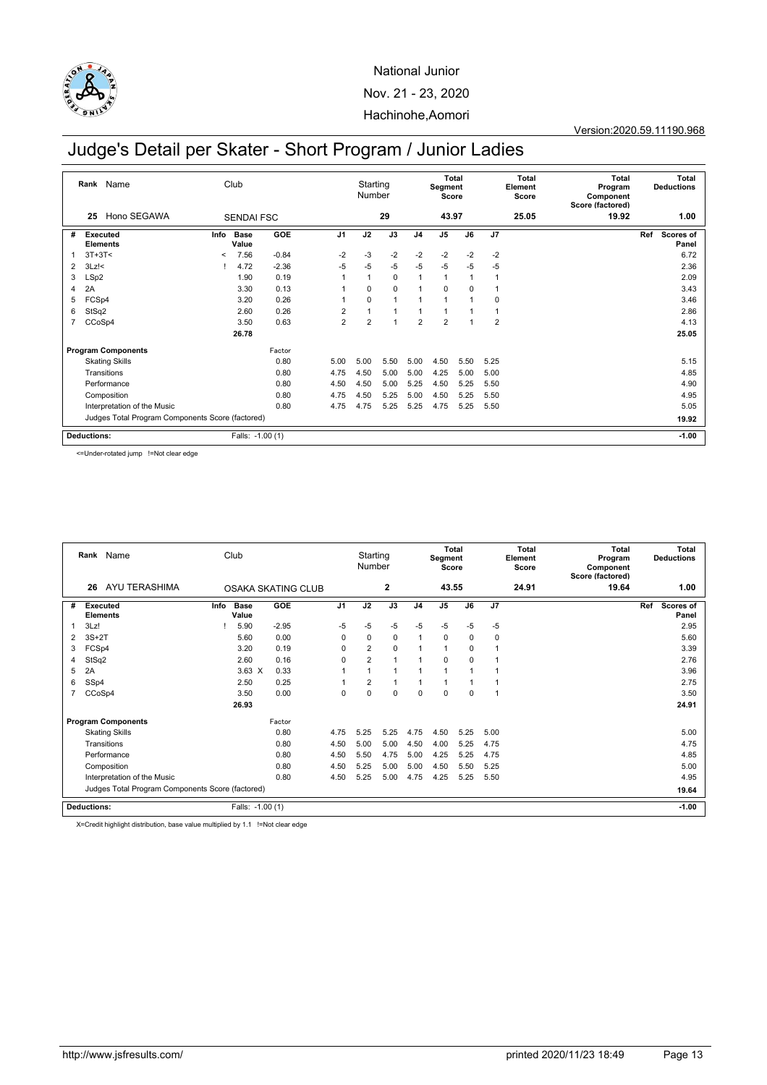

Version:2020.59.11190.968

# Judge's Detail per Skater - Short Program / Junior Ladies

|                    | Rank Name                                        |         | Club                 |         |                | Starting<br>Number |                |                | <b>Total</b><br>Segment<br>Score |          |                | Total<br>Element<br>Score | <b>Total</b><br>Program<br>Component<br>Score (factored) | <b>Total</b><br><b>Deductions</b> |
|--------------------|--------------------------------------------------|---------|----------------------|---------|----------------|--------------------|----------------|----------------|----------------------------------|----------|----------------|---------------------------|----------------------------------------------------------|-----------------------------------|
|                    | Hono SEGAWA<br>25                                |         | <b>SENDAI FSC</b>    |         |                | 29                 |                |                | 43.97                            |          | 25.05          |                           | 19.92                                                    | 1.00                              |
| #                  | <b>Executed</b><br><b>Elements</b>               | Info    | <b>Base</b><br>Value | GOE     | J <sub>1</sub> | J2                 | J3             | J <sub>4</sub> | J <sub>5</sub>                   | J6       | J7             |                           |                                                          | Ref<br>Scores of<br>Panel         |
|                    | $3T+3T<$                                         | $\,<\,$ | 7.56                 | $-0.84$ | $-2$           | $-3$               | $-2$           | $-2$           | $-2$                             | $-2$     | $-2$           |                           |                                                          | 6.72                              |
| 2                  | $3Lz$ !<                                         |         | 4.72                 | $-2.36$ | $-5$           | $-5$               | $-5$           | $-5$           | $-5$                             | $-5$     | $-5$           |                           |                                                          | 2.36                              |
| 3                  | LSp2                                             |         | 1.90                 | 0.19    |                |                    | $\mathbf 0$    | 1              | $\overline{1}$                   |          |                |                           |                                                          | 2.09                              |
| 4                  | 2A                                               |         | 3.30                 | 0.13    |                | $\Omega$           | $\Omega$       | 1              | $\Omega$                         | $\Omega$ |                |                           |                                                          | 3.43                              |
| 5                  | FCSp4                                            |         | 3.20                 | 0.26    |                | $\Omega$           | $\overline{1}$ | 1              |                                  |          | $\mathbf 0$    |                           |                                                          | 3.46                              |
| 6                  | StSq2                                            |         | 2.60                 | 0.26    | $\overline{2}$ |                    | $\overline{1}$ | 1              |                                  |          |                |                           |                                                          | 2.86                              |
| $\overline{7}$     | CCoSp4                                           |         | 3.50                 | 0.63    | $\overline{2}$ | $\overline{2}$     | $\overline{1}$ | $\overline{2}$ | $\overline{2}$                   |          | $\overline{2}$ |                           |                                                          | 4.13                              |
|                    |                                                  |         | 26.78                |         |                |                    |                |                |                                  |          |                |                           |                                                          | 25.05                             |
|                    | <b>Program Components</b>                        |         |                      | Factor  |                |                    |                |                |                                  |          |                |                           |                                                          |                                   |
|                    | <b>Skating Skills</b>                            |         |                      | 0.80    | 5.00           | 5.00               | 5.50           | 5.00           | 4.50                             | 5.50     | 5.25           |                           |                                                          | 5.15                              |
|                    | Transitions                                      |         |                      | 0.80    | 4.75           | 4.50               | 5.00           | 5.00           | 4.25                             | 5.00     | 5.00           |                           |                                                          | 4.85                              |
|                    | Performance                                      |         |                      | 0.80    | 4.50           | 4.50               | 5.00           | 5.25           | 4.50                             | 5.25     | 5.50           |                           |                                                          | 4.90                              |
|                    | Composition                                      |         |                      | 0.80    | 4.75           | 4.50               | 5.25           | 5.00           | 4.50                             | 5.25     | 5.50           |                           |                                                          | 4.95                              |
|                    | Interpretation of the Music                      |         |                      | 0.80    | 4.75           | 4.75               | 5.25           | 5.25           | 4.75                             | 5.25     | 5.50           |                           |                                                          | 5.05                              |
|                    | Judges Total Program Components Score (factored) |         |                      |         |                |                    |                |                |                                  |          |                |                           |                                                          | 19.92                             |
| <b>Deductions:</b> |                                                  |         | Falls: -1.00 (1)     |         |                |                    |                |                |                                  |          |                |                           |                                                          | $-1.00$                           |

<=Under-rotated jump !=Not clear edge

|   | Name<br>Rank                                     |      | Club                 |                    |             | Starting<br>Number |             |                | <b>Total</b><br>Segment<br>Score |             |              | <b>Total</b><br>Element<br>Score | <b>Total</b><br>Program<br>Component<br>Score (factored) | <b>Total</b><br><b>Deductions</b> |  |
|---|--------------------------------------------------|------|----------------------|--------------------|-------------|--------------------|-------------|----------------|----------------------------------|-------------|--------------|----------------------------------|----------------------------------------------------------|-----------------------------------|--|
|   | <b>AYU TERASHIMA</b><br>26                       |      |                      | OSAKA SKATING CLUB |             |                    | 2           |                | 43.55                            |             |              | 24.91                            | 19.64                                                    | 1.00                              |  |
| # | <b>Executed</b><br><b>Elements</b>               | Info | <b>Base</b><br>Value | <b>GOE</b>         | J1          | J2                 | J3          | J <sub>4</sub> | J <sub>5</sub>                   | J6          | J7           |                                  |                                                          | Ref<br><b>Scores of</b><br>Panel  |  |
|   | 3Lz!                                             |      | 5.90                 | $-2.95$            | $-5$        | $-5$               | $-5$        | $-5$           | $-5$                             | $-5$        | $-5$         |                                  |                                                          | 2.95                              |  |
| 2 | $3S+2T$                                          |      | 5.60                 | 0.00               | $\mathbf 0$ | $\mathbf 0$        | $\mathbf 0$ | $\mathbf{1}$   | $\mathbf 0$                      | $\mathbf 0$ | $\mathbf 0$  |                                  |                                                          | 5.60                              |  |
| 3 | FCSp4                                            |      | 3.20                 | 0.19               | $\Omega$    | $\overline{2}$     | $\Omega$    | 1              | $\overline{1}$                   | 0           | $\mathbf{1}$ |                                  |                                                          | 3.39                              |  |
| 4 | StSq2                                            |      | 2.60                 | 0.16               | $\mathbf 0$ | $\overline{2}$     | -1          |                | $\Omega$                         | $\mathbf 0$ | 1            |                                  |                                                          | 2.76                              |  |
| 5 | 2A                                               |      | $3.63 \times$        | 0.33               |             |                    | -1          | $\overline{ }$ | 1                                |             | $\mathbf{1}$ |                                  |                                                          | 3.96                              |  |
| 6 | SSp4                                             |      | 2.50                 | 0.25               |             | $\overline{2}$     | ٠           |                | 1                                |             | 1            |                                  |                                                          | 2.75                              |  |
|   | CCoSp4                                           |      | 3.50                 | 0.00               | $\mathbf 0$ | $\mathbf 0$        | $\mathbf 0$ | $\Omega$       | $\mathbf 0$                      | $\mathbf 0$ | 1            |                                  |                                                          | 3.50                              |  |
|   |                                                  |      | 26.93                |                    |             |                    |             |                |                                  |             |              |                                  |                                                          | 24.91                             |  |
|   | <b>Program Components</b>                        |      |                      | Factor             |             |                    |             |                |                                  |             |              |                                  |                                                          |                                   |  |
|   | <b>Skating Skills</b>                            |      |                      | 0.80               | 4.75        | 5.25               | 5.25        | 4.75           | 4.50                             | 5.25        | 5.00         |                                  |                                                          | 5.00                              |  |
|   | Transitions                                      |      |                      | 0.80               | 4.50        | 5.00               | 5.00        | 4.50           | 4.00                             | 5.25        | 4.75         |                                  |                                                          | 4.75                              |  |
|   | Performance                                      |      |                      | 0.80               | 4.50        | 5.50               | 4.75        | 5.00           | 4.25                             | 5.25        | 4.75         |                                  |                                                          | 4.85                              |  |
|   | Composition                                      |      |                      | 0.80               | 4.50        | 5.25               | 5.00        | 5.00           | 4.50                             | 5.50        | 5.25         |                                  |                                                          | 5.00                              |  |
|   | Interpretation of the Music                      |      |                      | 0.80               | 4.50        | 5.25               | 5.00        | 4.75           | 4.25                             | 5.25        | 5.50         |                                  |                                                          | 4.95                              |  |
|   | Judges Total Program Components Score (factored) |      |                      |                    |             |                    |             |                |                                  |             |              |                                  |                                                          | 19.64                             |  |
|   | Deductions:                                      |      | Falls: -1.00 (1)     |                    |             |                    |             |                |                                  |             |              |                                  |                                                          | $-1.00$                           |  |

X=Credit highlight distribution, base value multiplied by 1.1 !=Not clear edge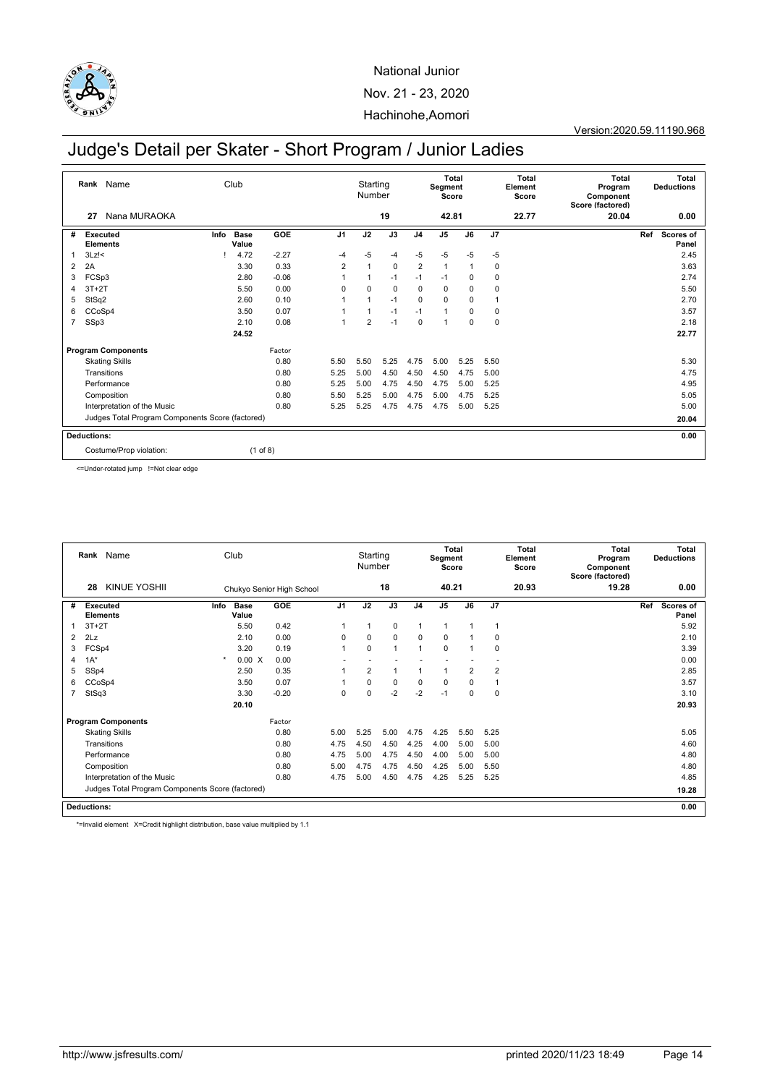

Version:2020.59.11190.968

# Judge's Detail per Skater - Short Program / Junior Ladies

|                    | Rank Name                                        |      | Club                 |          |                | Starting<br>Number |             | Total<br>Segment<br>Score |                |             | Total<br>Element<br>Score |       | <b>Total</b><br>Program<br>Component<br>Score (factored) | <b>Total</b><br><b>Deductions</b> |
|--------------------|--------------------------------------------------|------|----------------------|----------|----------------|--------------------|-------------|---------------------------|----------------|-------------|---------------------------|-------|----------------------------------------------------------|-----------------------------------|
|                    | Nana MURAOKA<br>27                               |      |                      |          |                |                    | 19          |                           | 42.81          |             |                           | 22.77 | 20.04                                                    | 0.00                              |
| #                  | Executed<br><b>Elements</b>                      | Info | <b>Base</b><br>Value | GOE      | J <sub>1</sub> | J2                 | J3          | J <sub>4</sub>            | J <sub>5</sub> | J6          | J7                        |       |                                                          | Scores of<br>Ref<br>Panel         |
| 1                  | $3Lz$ !<                                         |      | 4.72                 | $-2.27$  | $-4$           | $-5$               | $-4$        | $-5$                      | $-5$           | $-5$        | $-5$                      |       |                                                          | 2.45                              |
| $\overline{2}$     | 2A                                               |      | 3.30                 | 0.33     | $\overline{2}$ | 1                  | $\mathbf 0$ | $\overline{2}$            | $\mathbf{1}$   |             | 0                         |       |                                                          | 3.63                              |
| 3                  | FCSp3                                            |      | 2.80                 | $-0.06$  |                | 1                  | $-1$        | $-1$                      | $-1$           | 0           | 0                         |       |                                                          | 2.74                              |
| 4                  | $3T+2T$                                          |      | 5.50                 | 0.00     | $\Omega$       | 0                  | $\mathbf 0$ | 0                         | $\mathbf 0$    | 0           | 0                         |       |                                                          | 5.50                              |
| 5                  | StSq2                                            |      | 2.60                 | 0.10     |                |                    | $-1$        | $\Omega$                  | $\mathbf 0$    | $\mathbf 0$ |                           |       |                                                          | 2.70                              |
| 6                  | CCoSp4                                           |      | 3.50                 | 0.07     |                |                    | $-1$        | $-1$                      | 1              | 0           | 0                         |       |                                                          | 3.57                              |
| $\overline{7}$     | SSp3                                             |      | 2.10                 | 0.08     | 1              | $\overline{2}$     | $-1$        | $\Omega$                  | 1              | $\mathbf 0$ | 0                         |       |                                                          | 2.18                              |
|                    |                                                  |      | 24.52                |          |                |                    |             |                           |                |             |                           |       |                                                          | 22.77                             |
|                    | <b>Program Components</b>                        |      |                      | Factor   |                |                    |             |                           |                |             |                           |       |                                                          |                                   |
|                    | <b>Skating Skills</b>                            |      |                      | 0.80     | 5.50           | 5.50               | 5.25        | 4.75                      | 5.00           | 5.25        | 5.50                      |       |                                                          | 5.30                              |
|                    | Transitions                                      |      |                      | 0.80     | 5.25           | 5.00               | 4.50        | 4.50                      | 4.50           | 4.75        | 5.00                      |       |                                                          | 4.75                              |
|                    | Performance                                      |      |                      | 0.80     | 5.25           | 5.00               | 4.75        | 4.50                      | 4.75           | 5.00        | 5.25                      |       |                                                          | 4.95                              |
|                    | Composition                                      |      |                      | 0.80     | 5.50           | 5.25               | 5.00        | 4.75                      | 5.00           | 4.75        | 5.25                      |       |                                                          | 5.05                              |
|                    | Interpretation of the Music                      |      |                      | 0.80     | 5.25           | 5.25               | 4.75        | 4.75                      | 4.75           | 5.00        | 5.25                      |       |                                                          | 5.00                              |
|                    | Judges Total Program Components Score (factored) |      |                      |          |                |                    |             |                           |                |             |                           |       |                                                          | 20.04                             |
| <b>Deductions:</b> |                                                  |      |                      |          |                |                    |             |                           |                |             |                           |       |                                                          | 0.00                              |
|                    | Costume/Prop violation:                          |      |                      | (1 of 8) |                |                    |             |                           |                |             |                           |       |                                                          |                                   |

<=Under-rotated jump !=Not clear edge

|                | Name<br>Club<br>Rank                             |                              |                           |                | Starting<br>Number |                |                | <b>Total</b><br>Segment<br>Score |                | Total<br>Element<br>Score |       | Total<br>Program<br>Component<br>Score (factored) |     | Total<br><b>Deductions</b> |
|----------------|--------------------------------------------------|------------------------------|---------------------------|----------------|--------------------|----------------|----------------|----------------------------------|----------------|---------------------------|-------|---------------------------------------------------|-----|----------------------------|
|                | <b>KINUE YOSHII</b><br>28                        |                              | Chukyo Senior High School |                |                    | 18             |                | 40.21                            |                |                           | 20.93 | 19.28                                             |     | 0.00                       |
| #              | Executed<br><b>Elements</b>                      | <b>Base</b><br>Info<br>Value | GOE                       | J <sub>1</sub> | J2                 | J3             | J <sub>4</sub> | J <sub>5</sub>                   | J6             | J <sub>7</sub>            |       |                                                   | Ref | Scores of<br>Panel         |
|                | $3T+2T$                                          | 5.50                         | 0.42                      |                | $\mathbf{1}$       | $\mathbf 0$    | 1              | $\mathbf{1}$                     | 1              | $\mathbf{1}$              |       |                                                   |     | 5.92                       |
| $\overline{2}$ | 2Lz                                              | 2.10                         | 0.00                      | $\mathbf 0$    | $\mathbf 0$        | $\mathbf 0$    | $\mathbf 0$    | $\mathbf 0$                      | 1              | $\mathbf 0$               |       |                                                   |     | 2.10                       |
| 3              | FCSp4                                            | 3.20                         | 0.19                      |                | $\mathbf 0$        | $\overline{1}$ | $\overline{1}$ | $\mathbf 0$                      | 1              | 0                         |       |                                                   |     | 3.39                       |
| 4              | $1A^*$                                           | 0.00 X                       | 0.00                      |                |                    |                |                |                                  |                |                           |       |                                                   |     | 0.00                       |
| 5              | SSp4                                             | 2.50                         | 0.35                      |                | $\overline{2}$     | 1              |                | $\mathbf{1}$                     | $\overline{2}$ | $\overline{2}$            |       |                                                   |     | 2.85                       |
| 6              | CCoSp4                                           | 3.50                         | 0.07                      |                | $\mathbf 0$        | $\mathbf 0$    | $\mathbf 0$    | $\mathbf 0$                      | 0              | 1                         |       |                                                   |     | 3.57                       |
|                | StSq3                                            | 3.30                         | $-0.20$                   | $\mathbf 0$    | $\mathbf 0$        | $-2$           | $-2$           | $-1$                             | 0              | $\mathbf 0$               |       |                                                   |     | 3.10                       |
|                |                                                  | 20.10                        |                           |                |                    |                |                |                                  |                |                           |       |                                                   |     | 20.93                      |
|                | <b>Program Components</b>                        |                              | Factor                    |                |                    |                |                |                                  |                |                           |       |                                                   |     |                            |
|                | <b>Skating Skills</b>                            |                              | 0.80                      | 5.00           | 5.25               | 5.00           | 4.75           | 4.25                             | 5.50           | 5.25                      |       |                                                   |     | 5.05                       |
|                | Transitions                                      |                              | 0.80                      | 4.75           | 4.50               | 4.50           | 4.25           | 4.00                             | 5.00           | 5.00                      |       |                                                   |     | 4.60                       |
|                | Performance                                      |                              | 0.80                      | 4.75           | 5.00               | 4.75           | 4.50           | 4.00                             | 5.00           | 5.00                      |       |                                                   |     | 4.80                       |
|                | Composition                                      |                              | 0.80                      | 5.00           | 4.75               | 4.75           | 4.50           | 4.25                             | 5.00           | 5.50                      |       |                                                   |     | 4.80                       |
|                | Interpretation of the Music                      |                              | 0.80                      | 4.75           | 5.00               | 4.50           | 4.75           | 4.25                             | 5.25           | 5.25                      |       |                                                   |     | 4.85                       |
|                | Judges Total Program Components Score (factored) |                              |                           |                |                    |                |                |                                  |                |                           |       |                                                   |     | 19.28                      |
|                | <b>Deductions:</b>                               |                              |                           |                |                    |                |                |                                  |                |                           |       |                                                   |     | 0.00                       |

\*=Invalid element X=Credit highlight distribution, base value multiplied by 1.1